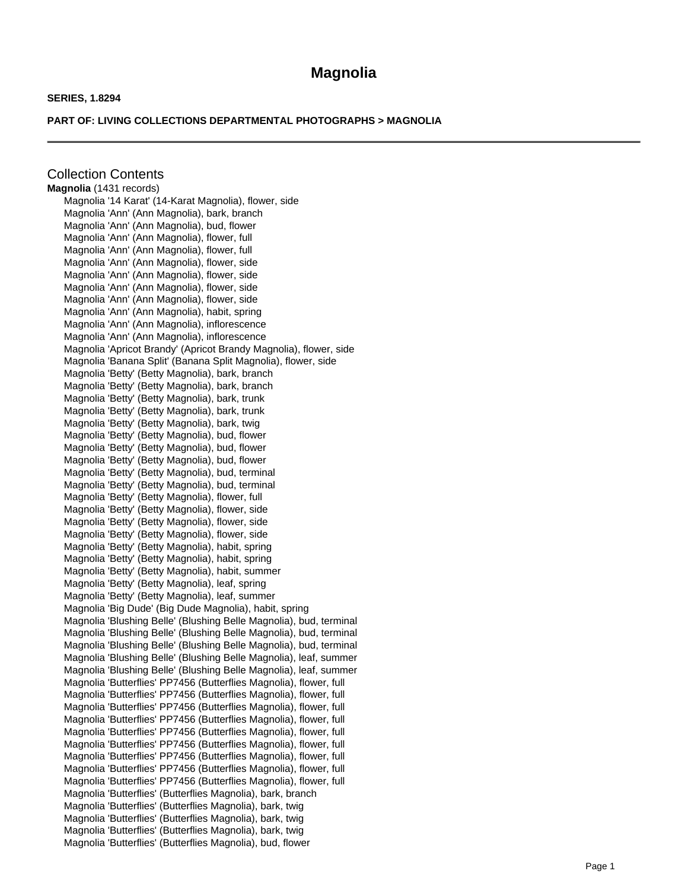## **Magnolia**

## **SERIES, 1.8294**

## **PART OF: LIVING COLLECTIONS DEPARTMENTAL PHOTOGRAPHS > MAGNOLIA**

Collection Contents **Magnolia** (1431 records) Magnolia '14 Karat' (14-Karat Magnolia), flower, side Magnolia 'Ann' (Ann Magnolia), bark, branch Magnolia 'Ann' (Ann Magnolia), bud, flower Magnolia 'Ann' (Ann Magnolia), flower, full Magnolia 'Ann' (Ann Magnolia), flower, full Magnolia 'Ann' (Ann Magnolia), flower, side Magnolia 'Ann' (Ann Magnolia), flower, side Magnolia 'Ann' (Ann Magnolia), flower, side Magnolia 'Ann' (Ann Magnolia), flower, side Magnolia 'Ann' (Ann Magnolia), habit, spring Magnolia 'Ann' (Ann Magnolia), inflorescence Magnolia 'Ann' (Ann Magnolia), inflorescence Magnolia 'Apricot Brandy' (Apricot Brandy Magnolia), flower, side Magnolia 'Banana Split' (Banana Split Magnolia), flower, side Magnolia 'Betty' (Betty Magnolia), bark, branch Magnolia 'Betty' (Betty Magnolia), bark, branch Magnolia 'Betty' (Betty Magnolia), bark, trunk Magnolia 'Betty' (Betty Magnolia), bark, trunk Magnolia 'Betty' (Betty Magnolia), bark, twig Magnolia 'Betty' (Betty Magnolia), bud, flower Magnolia 'Betty' (Betty Magnolia), bud, flower Magnolia 'Betty' (Betty Magnolia), bud, flower Magnolia 'Betty' (Betty Magnolia), bud, terminal Magnolia 'Betty' (Betty Magnolia), bud, terminal Magnolia 'Betty' (Betty Magnolia), flower, full Magnolia 'Betty' (Betty Magnolia), flower, side Magnolia 'Betty' (Betty Magnolia), flower, side Magnolia 'Betty' (Betty Magnolia), flower, side Magnolia 'Betty' (Betty Magnolia), habit, spring Magnolia 'Betty' (Betty Magnolia), habit, spring Magnolia 'Betty' (Betty Magnolia), habit, summer Magnolia 'Betty' (Betty Magnolia), leaf, spring Magnolia 'Betty' (Betty Magnolia), leaf, summer Magnolia 'Big Dude' (Big Dude Magnolia), habit, spring Magnolia 'Blushing Belle' (Blushing Belle Magnolia), bud, terminal Magnolia 'Blushing Belle' (Blushing Belle Magnolia), bud, terminal Magnolia 'Blushing Belle' (Blushing Belle Magnolia), bud, terminal Magnolia 'Blushing Belle' (Blushing Belle Magnolia), leaf, summer Magnolia 'Blushing Belle' (Blushing Belle Magnolia), leaf, summer Magnolia 'Butterflies' PP7456 (Butterflies Magnolia), flower, full Magnolia 'Butterflies' PP7456 (Butterflies Magnolia), flower, full Magnolia 'Butterflies' PP7456 (Butterflies Magnolia), flower, full Magnolia 'Butterflies' PP7456 (Butterflies Magnolia), flower, full Magnolia 'Butterflies' PP7456 (Butterflies Magnolia), flower, full Magnolia 'Butterflies' PP7456 (Butterflies Magnolia), flower, full Magnolia 'Butterflies' PP7456 (Butterflies Magnolia), flower, full Magnolia 'Butterflies' PP7456 (Butterflies Magnolia), flower, full Magnolia 'Butterflies' PP7456 (Butterflies Magnolia), flower, full Magnolia 'Butterflies' (Butterflies Magnolia), bark, branch Magnolia 'Butterflies' (Butterflies Magnolia), bark, twig Magnolia 'Butterflies' (Butterflies Magnolia), bark, twig Magnolia 'Butterflies' (Butterflies Magnolia), bark, twig Magnolia 'Butterflies' (Butterflies Magnolia), bud, flower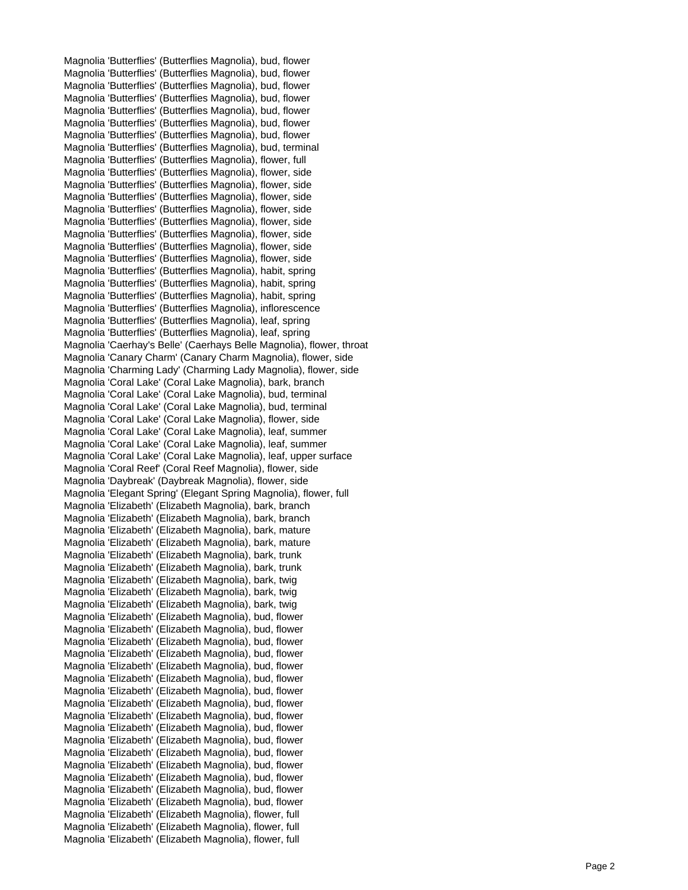Magnolia 'Butterflies' (Butterflies Magnolia), bud, flower Magnolia 'Butterflies' (Butterflies Magnolia), bud, flower Magnolia 'Butterflies' (Butterflies Magnolia), bud, flower Magnolia 'Butterflies' (Butterflies Magnolia), bud, flower Magnolia 'Butterflies' (Butterflies Magnolia), bud, flower Magnolia 'Butterflies' (Butterflies Magnolia), bud, flower Magnolia 'Butterflies' (Butterflies Magnolia), bud, flower Magnolia 'Butterflies' (Butterflies Magnolia), bud, terminal Magnolia 'Butterflies' (Butterflies Magnolia), flower, full Magnolia 'Butterflies' (Butterflies Magnolia), flower, side Magnolia 'Butterflies' (Butterflies Magnolia), flower, side Magnolia 'Butterflies' (Butterflies Magnolia), flower, side Magnolia 'Butterflies' (Butterflies Magnolia), flower, side Magnolia 'Butterflies' (Butterflies Magnolia), flower, side Magnolia 'Butterflies' (Butterflies Magnolia), flower, side Magnolia 'Butterflies' (Butterflies Magnolia), flower, side Magnolia 'Butterflies' (Butterflies Magnolia), flower, side Magnolia 'Butterflies' (Butterflies Magnolia), habit, spring Magnolia 'Butterflies' (Butterflies Magnolia), habit, spring Magnolia 'Butterflies' (Butterflies Magnolia), habit, spring Magnolia 'Butterflies' (Butterflies Magnolia), inflorescence Magnolia 'Butterflies' (Butterflies Magnolia), leaf, spring Magnolia 'Butterflies' (Butterflies Magnolia), leaf, spring Magnolia 'Caerhay's Belle' (Caerhays Belle Magnolia), flower, throat Magnolia 'Canary Charm' (Canary Charm Magnolia), flower, side Magnolia 'Charming Lady' (Charming Lady Magnolia), flower, side Magnolia 'Coral Lake' (Coral Lake Magnolia), bark, branch Magnolia 'Coral Lake' (Coral Lake Magnolia), bud, terminal Magnolia 'Coral Lake' (Coral Lake Magnolia), bud, terminal Magnolia 'Coral Lake' (Coral Lake Magnolia), flower, side Magnolia 'Coral Lake' (Coral Lake Magnolia), leaf, summer Magnolia 'Coral Lake' (Coral Lake Magnolia), leaf, summer Magnolia 'Coral Lake' (Coral Lake Magnolia), leaf, upper surface Magnolia 'Coral Reef' (Coral Reef Magnolia), flower, side Magnolia 'Daybreak' (Daybreak Magnolia), flower, side Magnolia 'Elegant Spring' (Elegant Spring Magnolia), flower, full Magnolia 'Elizabeth' (Elizabeth Magnolia), bark, branch Magnolia 'Elizabeth' (Elizabeth Magnolia), bark, branch Magnolia 'Elizabeth' (Elizabeth Magnolia), bark, mature Magnolia 'Elizabeth' (Elizabeth Magnolia), bark, mature Magnolia 'Elizabeth' (Elizabeth Magnolia), bark, trunk Magnolia 'Elizabeth' (Elizabeth Magnolia), bark, trunk Magnolia 'Elizabeth' (Elizabeth Magnolia), bark, twig Magnolia 'Elizabeth' (Elizabeth Magnolia), bark, twig Magnolia 'Elizabeth' (Elizabeth Magnolia), bark, twig Magnolia 'Elizabeth' (Elizabeth Magnolia), bud, flower Magnolia 'Elizabeth' (Elizabeth Magnolia), bud, flower Magnolia 'Elizabeth' (Elizabeth Magnolia), bud, flower Magnolia 'Elizabeth' (Elizabeth Magnolia), bud, flower Magnolia 'Elizabeth' (Elizabeth Magnolia), bud, flower Magnolia 'Elizabeth' (Elizabeth Magnolia), bud, flower Magnolia 'Elizabeth' (Elizabeth Magnolia), bud, flower Magnolia 'Elizabeth' (Elizabeth Magnolia), bud, flower Magnolia 'Elizabeth' (Elizabeth Magnolia), bud, flower Magnolia 'Elizabeth' (Elizabeth Magnolia), bud, flower Magnolia 'Elizabeth' (Elizabeth Magnolia), bud, flower Magnolia 'Elizabeth' (Elizabeth Magnolia), bud, flower Magnolia 'Elizabeth' (Elizabeth Magnolia), bud, flower Magnolia 'Elizabeth' (Elizabeth Magnolia), bud, flower Magnolia 'Elizabeth' (Elizabeth Magnolia), bud, flower Magnolia 'Elizabeth' (Elizabeth Magnolia), bud, flower Magnolia 'Elizabeth' (Elizabeth Magnolia), flower, full Magnolia 'Elizabeth' (Elizabeth Magnolia), flower, full Magnolia 'Elizabeth' (Elizabeth Magnolia), flower, full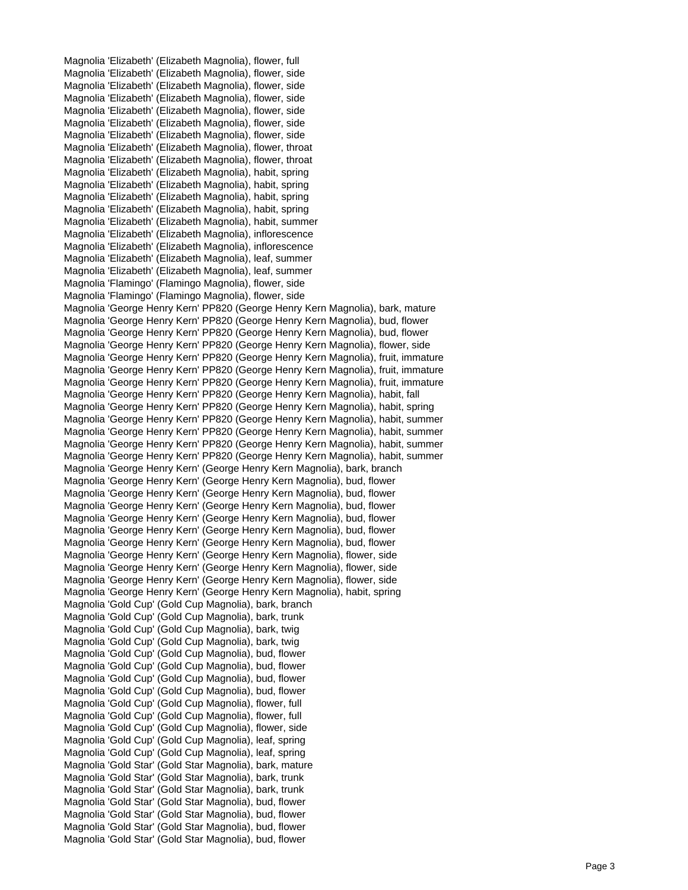Magnolia 'Elizabeth' (Elizabeth Magnolia), flower, full Magnolia 'Elizabeth' (Elizabeth Magnolia), flower, side Magnolia 'Elizabeth' (Elizabeth Magnolia), flower, side Magnolia 'Elizabeth' (Elizabeth Magnolia), flower, side Magnolia 'Elizabeth' (Elizabeth Magnolia), flower, side Magnolia 'Elizabeth' (Elizabeth Magnolia), flower, side Magnolia 'Elizabeth' (Elizabeth Magnolia), flower, side Magnolia 'Elizabeth' (Elizabeth Magnolia), flower, throat Magnolia 'Elizabeth' (Elizabeth Magnolia), flower, throat Magnolia 'Elizabeth' (Elizabeth Magnolia), habit, spring Magnolia 'Elizabeth' (Elizabeth Magnolia), habit, spring Magnolia 'Elizabeth' (Elizabeth Magnolia), habit, spring Magnolia 'Elizabeth' (Elizabeth Magnolia), habit, spring Magnolia 'Elizabeth' (Elizabeth Magnolia), habit, summer Magnolia 'Elizabeth' (Elizabeth Magnolia), inflorescence Magnolia 'Elizabeth' (Elizabeth Magnolia), inflorescence Magnolia 'Elizabeth' (Elizabeth Magnolia), leaf, summer Magnolia 'Elizabeth' (Elizabeth Magnolia), leaf, summer Magnolia 'Flamingo' (Flamingo Magnolia), flower, side Magnolia 'Flamingo' (Flamingo Magnolia), flower, side Magnolia 'George Henry Kern' PP820 (George Henry Kern Magnolia), bark, mature Magnolia 'George Henry Kern' PP820 (George Henry Kern Magnolia), bud, flower Magnolia 'George Henry Kern' PP820 (George Henry Kern Magnolia), bud, flower Magnolia 'George Henry Kern' PP820 (George Henry Kern Magnolia), flower, side Magnolia 'George Henry Kern' PP820 (George Henry Kern Magnolia), fruit, immature Magnolia 'George Henry Kern' PP820 (George Henry Kern Magnolia), fruit, immature Magnolia 'George Henry Kern' PP820 (George Henry Kern Magnolia), fruit, immature Magnolia 'George Henry Kern' PP820 (George Henry Kern Magnolia), habit, fall Magnolia 'George Henry Kern' PP820 (George Henry Kern Magnolia), habit, spring Magnolia 'George Henry Kern' PP820 (George Henry Kern Magnolia), habit, summer Magnolia 'George Henry Kern' PP820 (George Henry Kern Magnolia), habit, summer Magnolia 'George Henry Kern' PP820 (George Henry Kern Magnolia), habit, summer Magnolia 'George Henry Kern' PP820 (George Henry Kern Magnolia), habit, summer Magnolia 'George Henry Kern' (George Henry Kern Magnolia), bark, branch Magnolia 'George Henry Kern' (George Henry Kern Magnolia), bud, flower Magnolia 'George Henry Kern' (George Henry Kern Magnolia), bud, flower Magnolia 'George Henry Kern' (George Henry Kern Magnolia), bud, flower Magnolia 'George Henry Kern' (George Henry Kern Magnolia), bud, flower Magnolia 'George Henry Kern' (George Henry Kern Magnolia), bud, flower Magnolia 'George Henry Kern' (George Henry Kern Magnolia), bud, flower Magnolia 'George Henry Kern' (George Henry Kern Magnolia), flower, side Magnolia 'George Henry Kern' (George Henry Kern Magnolia), flower, side Magnolia 'George Henry Kern' (George Henry Kern Magnolia), flower, side Magnolia 'George Henry Kern' (George Henry Kern Magnolia), habit, spring Magnolia 'Gold Cup' (Gold Cup Magnolia), bark, branch Magnolia 'Gold Cup' (Gold Cup Magnolia), bark, trunk Magnolia 'Gold Cup' (Gold Cup Magnolia), bark, twig Magnolia 'Gold Cup' (Gold Cup Magnolia), bark, twig Magnolia 'Gold Cup' (Gold Cup Magnolia), bud, flower Magnolia 'Gold Cup' (Gold Cup Magnolia), bud, flower Magnolia 'Gold Cup' (Gold Cup Magnolia), bud, flower Magnolia 'Gold Cup' (Gold Cup Magnolia), bud, flower Magnolia 'Gold Cup' (Gold Cup Magnolia), flower, full Magnolia 'Gold Cup' (Gold Cup Magnolia), flower, full Magnolia 'Gold Cup' (Gold Cup Magnolia), flower, side Magnolia 'Gold Cup' (Gold Cup Magnolia), leaf, spring Magnolia 'Gold Cup' (Gold Cup Magnolia), leaf, spring Magnolia 'Gold Star' (Gold Star Magnolia), bark, mature Magnolia 'Gold Star' (Gold Star Magnolia), bark, trunk Magnolia 'Gold Star' (Gold Star Magnolia), bark, trunk Magnolia 'Gold Star' (Gold Star Magnolia), bud, flower Magnolia 'Gold Star' (Gold Star Magnolia), bud, flower Magnolia 'Gold Star' (Gold Star Magnolia), bud, flower Magnolia 'Gold Star' (Gold Star Magnolia), bud, flower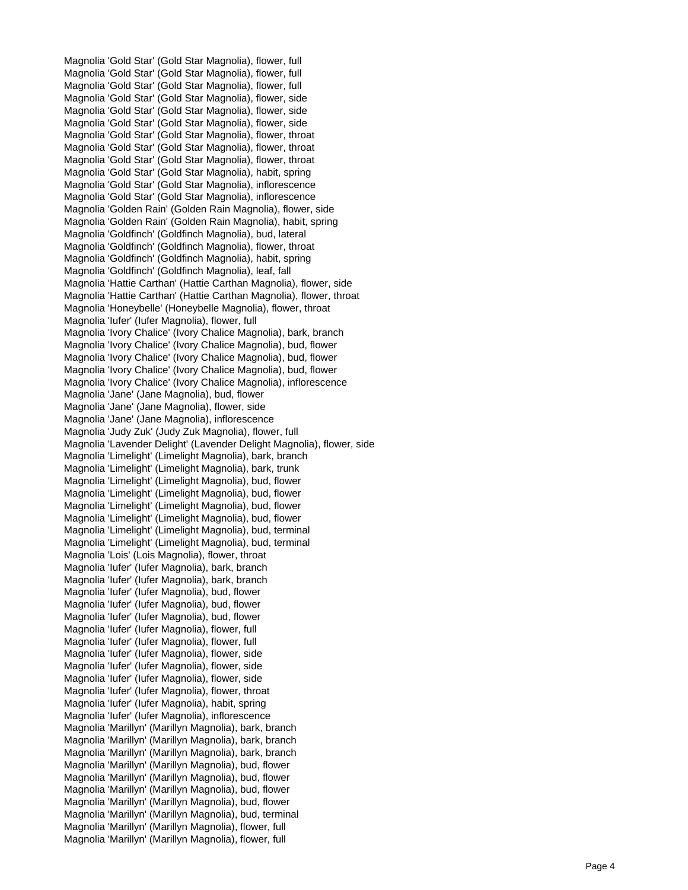Magnolia 'Gold Star' (Gold Star Magnolia), flower, full Magnolia 'Gold Star' (Gold Star Magnolia), flower, full Magnolia 'Gold Star' (Gold Star Magnolia), flower, full Magnolia 'Gold Star' (Gold Star Magnolia), flower, side Magnolia 'Gold Star' (Gold Star Magnolia), flower, side Magnolia 'Gold Star' (Gold Star Magnolia), flower, side Magnolia 'Gold Star' (Gold Star Magnolia), flower, throat Magnolia 'Gold Star' (Gold Star Magnolia), flower, throat Magnolia 'Gold Star' (Gold Star Magnolia), flower, throat Magnolia 'Gold Star' (Gold Star Magnolia), habit, spring Magnolia 'Gold Star' (Gold Star Magnolia), inflorescence Magnolia 'Gold Star' (Gold Star Magnolia), inflorescence Magnolia 'Golden Rain' (Golden Rain Magnolia), flower, side Magnolia 'Golden Rain' (Golden Rain Magnolia), habit, spring Magnolia 'Goldfinch' (Goldfinch Magnolia), bud, lateral Magnolia 'Goldfinch' (Goldfinch Magnolia), flower, throat Magnolia 'Goldfinch' (Goldfinch Magnolia), habit, spring Magnolia 'Goldfinch' (Goldfinch Magnolia), leaf, fall Magnolia 'Hattie Carthan' (Hattie Carthan Magnolia), flower, side Magnolia 'Hattie Carthan' (Hattie Carthan Magnolia), flower, throat Magnolia 'Honeybelle' (Honeybelle Magnolia), flower, throat Magnolia 'Iufer' (Iufer Magnolia), flower, full Magnolia 'Ivory Chalice' (Ivory Chalice Magnolia), bark, branch Magnolia 'Ivory Chalice' (Ivory Chalice Magnolia), bud, flower Magnolia 'Ivory Chalice' (Ivory Chalice Magnolia), bud, flower Magnolia 'Ivory Chalice' (Ivory Chalice Magnolia), bud, flower Magnolia 'Ivory Chalice' (Ivory Chalice Magnolia), inflorescence Magnolia 'Jane' (Jane Magnolia), bud, flower Magnolia 'Jane' (Jane Magnolia), flower, side Magnolia 'Jane' (Jane Magnolia), inflorescence Magnolia 'Judy Zuk' (Judy Zuk Magnolia), flower, full Magnolia 'Lavender Delight' (Lavender Delight Magnolia), flower, side Magnolia 'Limelight' (Limelight Magnolia), bark, branch Magnolia 'Limelight' (Limelight Magnolia), bark, trunk Magnolia 'Limelight' (Limelight Magnolia), bud, flower Magnolia 'Limelight' (Limelight Magnolia), bud, flower Magnolia 'Limelight' (Limelight Magnolia), bud, flower Magnolia 'Limelight' (Limelight Magnolia), bud, flower Magnolia 'Limelight' (Limelight Magnolia), bud, terminal Magnolia 'Limelight' (Limelight Magnolia), bud, terminal Magnolia 'Lois' (Lois Magnolia), flower, throat Magnolia 'Iufer' (Iufer Magnolia), bark, branch Magnolia 'Iufer' (Iufer Magnolia), bark, branch Magnolia 'Iufer' (Iufer Magnolia), bud, flower Magnolia 'Iufer' (Iufer Magnolia), bud, flower Magnolia 'Iufer' (Iufer Magnolia), bud, flower Magnolia 'Iufer' (Iufer Magnolia), flower, full Magnolia 'Iufer' (Iufer Magnolia), flower, full Magnolia 'Iufer' (Iufer Magnolia), flower, side Magnolia 'Iufer' (Iufer Magnolia), flower, side Magnolia 'Iufer' (Iufer Magnolia), flower, side Magnolia 'Iufer' (Iufer Magnolia), flower, throat Magnolia 'Iufer' (Iufer Magnolia), habit, spring Magnolia 'Iufer' (Iufer Magnolia), inflorescence Magnolia 'Marillyn' (Marillyn Magnolia), bark, branch Magnolia 'Marillyn' (Marillyn Magnolia), bark, branch Magnolia 'Marillyn' (Marillyn Magnolia), bark, branch Magnolia 'Marillyn' (Marillyn Magnolia), bud, flower Magnolia 'Marillyn' (Marillyn Magnolia), bud, flower Magnolia 'Marillyn' (Marillyn Magnolia), bud, flower Magnolia 'Marillyn' (Marillyn Magnolia), bud, flower Magnolia 'Marillyn' (Marillyn Magnolia), bud, terminal Magnolia 'Marillyn' (Marillyn Magnolia), flower, full Magnolia 'Marillyn' (Marillyn Magnolia), flower, full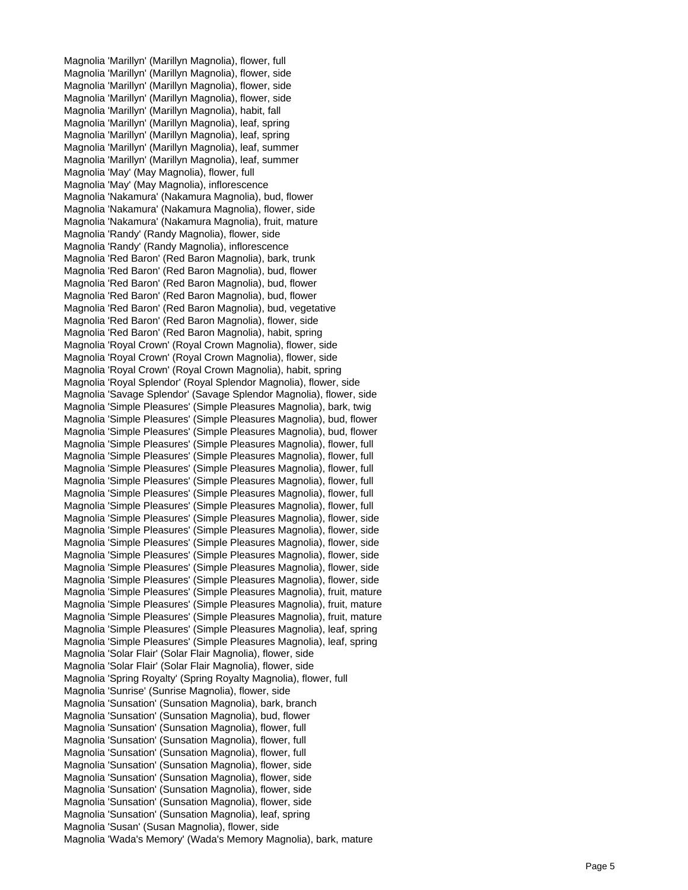Magnolia 'Marillyn' (Marillyn Magnolia), flower, full Magnolia 'Marillyn' (Marillyn Magnolia), flower, side Magnolia 'Marillyn' (Marillyn Magnolia), flower, side Magnolia 'Marillyn' (Marillyn Magnolia), flower, side Magnolia 'Marillyn' (Marillyn Magnolia), habit, fall Magnolia 'Marillyn' (Marillyn Magnolia), leaf, spring Magnolia 'Marillyn' (Marillyn Magnolia), leaf, spring Magnolia 'Marillyn' (Marillyn Magnolia), leaf, summer Magnolia 'Marillyn' (Marillyn Magnolia), leaf, summer Magnolia 'May' (May Magnolia), flower, full Magnolia 'May' (May Magnolia), inflorescence Magnolia 'Nakamura' (Nakamura Magnolia), bud, flower Magnolia 'Nakamura' (Nakamura Magnolia), flower, side Magnolia 'Nakamura' (Nakamura Magnolia), fruit, mature Magnolia 'Randy' (Randy Magnolia), flower, side Magnolia 'Randy' (Randy Magnolia), inflorescence Magnolia 'Red Baron' (Red Baron Magnolia), bark, trunk Magnolia 'Red Baron' (Red Baron Magnolia), bud, flower Magnolia 'Red Baron' (Red Baron Magnolia), bud, flower Magnolia 'Red Baron' (Red Baron Magnolia), bud, flower Magnolia 'Red Baron' (Red Baron Magnolia), bud, vegetative Magnolia 'Red Baron' (Red Baron Magnolia), flower, side Magnolia 'Red Baron' (Red Baron Magnolia), habit, spring Magnolia 'Royal Crown' (Royal Crown Magnolia), flower, side Magnolia 'Royal Crown' (Royal Crown Magnolia), flower, side Magnolia 'Royal Crown' (Royal Crown Magnolia), habit, spring Magnolia 'Royal Splendor' (Royal Splendor Magnolia), flower, side Magnolia 'Savage Splendor' (Savage Splendor Magnolia), flower, side Magnolia 'Simple Pleasures' (Simple Pleasures Magnolia), bark, twig Magnolia 'Simple Pleasures' (Simple Pleasures Magnolia), bud, flower Magnolia 'Simple Pleasures' (Simple Pleasures Magnolia), bud, flower Magnolia 'Simple Pleasures' (Simple Pleasures Magnolia), flower, full Magnolia 'Simple Pleasures' (Simple Pleasures Magnolia), flower, full Magnolia 'Simple Pleasures' (Simple Pleasures Magnolia), flower, full Magnolia 'Simple Pleasures' (Simple Pleasures Magnolia), flower, full Magnolia 'Simple Pleasures' (Simple Pleasures Magnolia), flower, full Magnolia 'Simple Pleasures' (Simple Pleasures Magnolia), flower, full Magnolia 'Simple Pleasures' (Simple Pleasures Magnolia), flower, side Magnolia 'Simple Pleasures' (Simple Pleasures Magnolia), flower, side Magnolia 'Simple Pleasures' (Simple Pleasures Magnolia), flower, side Magnolia 'Simple Pleasures' (Simple Pleasures Magnolia), flower, side Magnolia 'Simple Pleasures' (Simple Pleasures Magnolia), flower, side Magnolia 'Simple Pleasures' (Simple Pleasures Magnolia), flower, side Magnolia 'Simple Pleasures' (Simple Pleasures Magnolia), fruit, mature Magnolia 'Simple Pleasures' (Simple Pleasures Magnolia), fruit, mature Magnolia 'Simple Pleasures' (Simple Pleasures Magnolia), fruit, mature Magnolia 'Simple Pleasures' (Simple Pleasures Magnolia), leaf, spring Magnolia 'Simple Pleasures' (Simple Pleasures Magnolia), leaf, spring Magnolia 'Solar Flair' (Solar Flair Magnolia), flower, side Magnolia 'Solar Flair' (Solar Flair Magnolia), flower, side Magnolia 'Spring Royalty' (Spring Royalty Magnolia), flower, full Magnolia 'Sunrise' (Sunrise Magnolia), flower, side Magnolia 'Sunsation' (Sunsation Magnolia), bark, branch Magnolia 'Sunsation' (Sunsation Magnolia), bud, flower Magnolia 'Sunsation' (Sunsation Magnolia), flower, full Magnolia 'Sunsation' (Sunsation Magnolia), flower, full Magnolia 'Sunsation' (Sunsation Magnolia), flower, full Magnolia 'Sunsation' (Sunsation Magnolia), flower, side Magnolia 'Sunsation' (Sunsation Magnolia), flower, side Magnolia 'Sunsation' (Sunsation Magnolia), flower, side Magnolia 'Sunsation' (Sunsation Magnolia), flower, side Magnolia 'Sunsation' (Sunsation Magnolia), leaf, spring Magnolia 'Susan' (Susan Magnolia), flower, side Magnolia 'Wada's Memory' (Wada's Memory Magnolia), bark, mature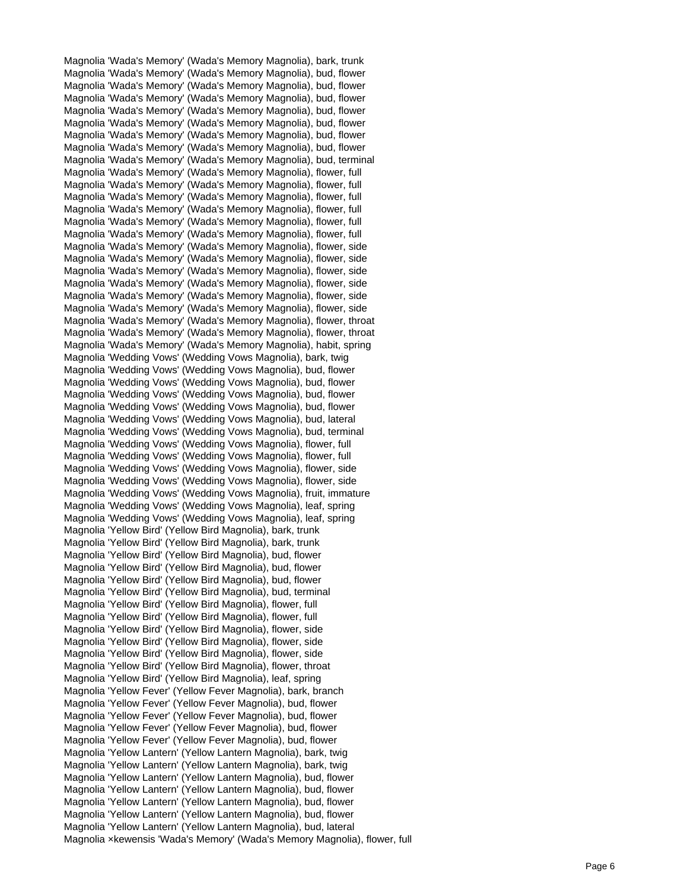Magnolia 'Wada's Memory' (Wada's Memory Magnolia), bark, trunk Magnolia 'Wada's Memory' (Wada's Memory Magnolia), bud, flower Magnolia 'Wada's Memory' (Wada's Memory Magnolia), bud, flower Magnolia 'Wada's Memory' (Wada's Memory Magnolia), bud, flower Magnolia 'Wada's Memory' (Wada's Memory Magnolia), bud, flower Magnolia 'Wada's Memory' (Wada's Memory Magnolia), bud, flower Magnolia 'Wada's Memory' (Wada's Memory Magnolia), bud, flower Magnolia 'Wada's Memory' (Wada's Memory Magnolia), bud, flower Magnolia 'Wada's Memory' (Wada's Memory Magnolia), bud, terminal Magnolia 'Wada's Memory' (Wada's Memory Magnolia), flower, full Magnolia 'Wada's Memory' (Wada's Memory Magnolia), flower, full Magnolia 'Wada's Memory' (Wada's Memory Magnolia), flower, full Magnolia 'Wada's Memory' (Wada's Memory Magnolia), flower, full Magnolia 'Wada's Memory' (Wada's Memory Magnolia), flower, full Magnolia 'Wada's Memory' (Wada's Memory Magnolia), flower, full Magnolia 'Wada's Memory' (Wada's Memory Magnolia), flower, side Magnolia 'Wada's Memory' (Wada's Memory Magnolia), flower, side Magnolia 'Wada's Memory' (Wada's Memory Magnolia), flower, side Magnolia 'Wada's Memory' (Wada's Memory Magnolia), flower, side Magnolia 'Wada's Memory' (Wada's Memory Magnolia), flower, side Magnolia 'Wada's Memory' (Wada's Memory Magnolia), flower, side Magnolia 'Wada's Memory' (Wada's Memory Magnolia), flower, throat Magnolia 'Wada's Memory' (Wada's Memory Magnolia), flower, throat Magnolia 'Wada's Memory' (Wada's Memory Magnolia), habit, spring Magnolia 'Wedding Vows' (Wedding Vows Magnolia), bark, twig Magnolia 'Wedding Vows' (Wedding Vows Magnolia), bud, flower Magnolia 'Wedding Vows' (Wedding Vows Magnolia), bud, flower Magnolia 'Wedding Vows' (Wedding Vows Magnolia), bud, flower Magnolia 'Wedding Vows' (Wedding Vows Magnolia), bud, flower Magnolia 'Wedding Vows' (Wedding Vows Magnolia), bud, lateral Magnolia 'Wedding Vows' (Wedding Vows Magnolia), bud, terminal Magnolia 'Wedding Vows' (Wedding Vows Magnolia), flower, full Magnolia 'Wedding Vows' (Wedding Vows Magnolia), flower, full Magnolia 'Wedding Vows' (Wedding Vows Magnolia), flower, side Magnolia 'Wedding Vows' (Wedding Vows Magnolia), flower, side Magnolia 'Wedding Vows' (Wedding Vows Magnolia), fruit, immature Magnolia 'Wedding Vows' (Wedding Vows Magnolia), leaf, spring Magnolia 'Wedding Vows' (Wedding Vows Magnolia), leaf, spring Magnolia 'Yellow Bird' (Yellow Bird Magnolia), bark, trunk Magnolia 'Yellow Bird' (Yellow Bird Magnolia), bark, trunk Magnolia 'Yellow Bird' (Yellow Bird Magnolia), bud, flower Magnolia 'Yellow Bird' (Yellow Bird Magnolia), bud, flower Magnolia 'Yellow Bird' (Yellow Bird Magnolia), bud, flower Magnolia 'Yellow Bird' (Yellow Bird Magnolia), bud, terminal Magnolia 'Yellow Bird' (Yellow Bird Magnolia), flower, full Magnolia 'Yellow Bird' (Yellow Bird Magnolia), flower, full Magnolia 'Yellow Bird' (Yellow Bird Magnolia), flower, side Magnolia 'Yellow Bird' (Yellow Bird Magnolia), flower, side Magnolia 'Yellow Bird' (Yellow Bird Magnolia), flower, side Magnolia 'Yellow Bird' (Yellow Bird Magnolia), flower, throat Magnolia 'Yellow Bird' (Yellow Bird Magnolia), leaf, spring Magnolia 'Yellow Fever' (Yellow Fever Magnolia), bark, branch Magnolia 'Yellow Fever' (Yellow Fever Magnolia), bud, flower Magnolia 'Yellow Fever' (Yellow Fever Magnolia), bud, flower Magnolia 'Yellow Fever' (Yellow Fever Magnolia), bud, flower Magnolia 'Yellow Fever' (Yellow Fever Magnolia), bud, flower Magnolia 'Yellow Lantern' (Yellow Lantern Magnolia), bark, twig Magnolia 'Yellow Lantern' (Yellow Lantern Magnolia), bark, twig Magnolia 'Yellow Lantern' (Yellow Lantern Magnolia), bud, flower Magnolia 'Yellow Lantern' (Yellow Lantern Magnolia), bud, flower Magnolia 'Yellow Lantern' (Yellow Lantern Magnolia), bud, flower Magnolia 'Yellow Lantern' (Yellow Lantern Magnolia), bud, flower Magnolia 'Yellow Lantern' (Yellow Lantern Magnolia), bud, lateral Magnolia ×kewensis 'Wada's Memory' (Wada's Memory Magnolia), flower, full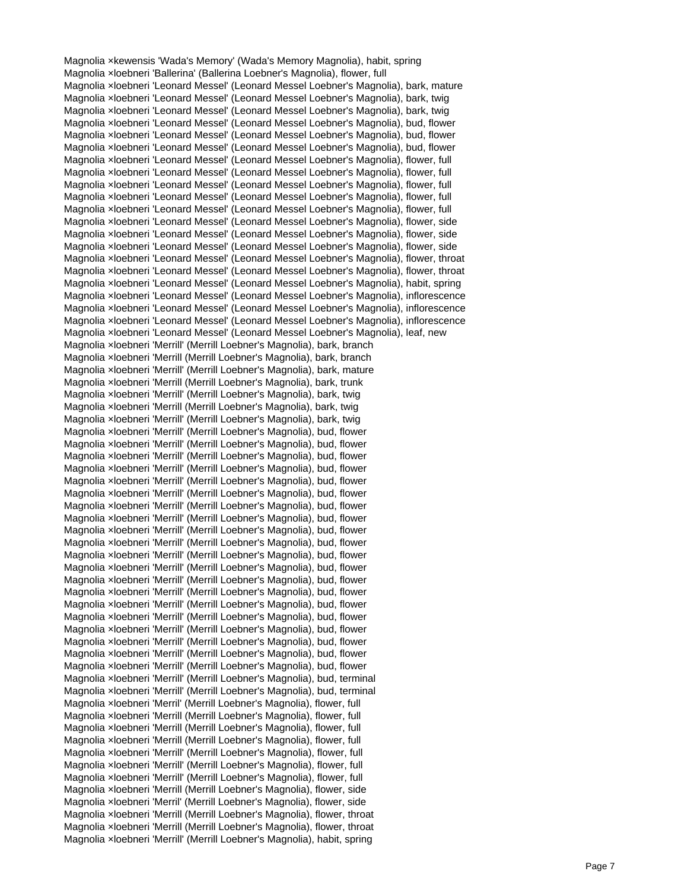Magnolia ×kewensis 'Wada's Memory' (Wada's Memory Magnolia), habit, spring Magnolia ×loebneri 'Ballerina' (Ballerina Loebner's Magnolia), flower, full Magnolia ×loebneri 'Leonard Messel' (Leonard Messel Loebner's Magnolia), bark, mature Magnolia ×loebneri 'Leonard Messel' (Leonard Messel Loebner's Magnolia), bark, twig Magnolia ×loebneri 'Leonard Messel' (Leonard Messel Loebner's Magnolia), bark, twig Magnolia ×loebneri 'Leonard Messel' (Leonard Messel Loebner's Magnolia), bud, flower Magnolia ×loebneri 'Leonard Messel' (Leonard Messel Loebner's Magnolia), bud, flower Magnolia ×loebneri 'Leonard Messel' (Leonard Messel Loebner's Magnolia), bud, flower Magnolia ×loebneri 'Leonard Messel' (Leonard Messel Loebner's Magnolia), flower, full Magnolia ×loebneri 'Leonard Messel' (Leonard Messel Loebner's Magnolia), flower, full Magnolia ×loebneri 'Leonard Messel' (Leonard Messel Loebner's Magnolia), flower, full Magnolia ×loebneri 'Leonard Messel' (Leonard Messel Loebner's Magnolia), flower, full Magnolia ×loebneri 'Leonard Messel' (Leonard Messel Loebner's Magnolia), flower, full Magnolia ×loebneri 'Leonard Messel' (Leonard Messel Loebner's Magnolia), flower, side Magnolia ×loebneri 'Leonard Messel' (Leonard Messel Loebner's Magnolia), flower, side Magnolia ×loebneri 'Leonard Messel' (Leonard Messel Loebner's Magnolia), flower, side Magnolia ×loebneri 'Leonard Messel' (Leonard Messel Loebner's Magnolia), flower, throat Magnolia ×loebneri 'Leonard Messel' (Leonard Messel Loebner's Magnolia), flower, throat Magnolia ×loebneri 'Leonard Messel' (Leonard Messel Loebner's Magnolia), habit, spring Magnolia ×loebneri 'Leonard Messel' (Leonard Messel Loebner's Magnolia), inflorescence Magnolia ×loebneri 'Leonard Messel' (Leonard Messel Loebner's Magnolia), inflorescence Magnolia ×loebneri 'Leonard Messel' (Leonard Messel Loebner's Magnolia), inflorescence Magnolia ×loebneri 'Leonard Messel' (Leonard Messel Loebner's Magnolia), leaf, new Magnolia ×loebneri 'Merrill' (Merrill Loebner's Magnolia), bark, branch Magnolia ×loebneri 'Merrill (Merrill Loebner's Magnolia), bark, branch Magnolia ×loebneri 'Merrill' (Merrill Loebner's Magnolia), bark, mature Magnolia ×loebneri 'Merrill (Merrill Loebner's Magnolia), bark, trunk Magnolia ×loebneri 'Merrill' (Merrill Loebner's Magnolia), bark, twig Magnolia ×loebneri 'Merrill (Merrill Loebner's Magnolia), bark, twig Magnolia ×loebneri 'Merrill' (Merrill Loebner's Magnolia), bark, twig Magnolia ×loebneri 'Merrill' (Merrill Loebner's Magnolia), bud, flower Magnolia ×loebneri 'Merrill' (Merrill Loebner's Magnolia), bud, flower Magnolia ×loebneri 'Merrill' (Merrill Loebner's Magnolia), bud, flower Magnolia ×loebneri 'Merrill' (Merrill Loebner's Magnolia), bud, flower Magnolia ×loebneri 'Merrill' (Merrill Loebner's Magnolia), bud, flower Magnolia ×loebneri 'Merrill' (Merrill Loebner's Magnolia), bud, flower Magnolia ×loebneri 'Merrill' (Merrill Loebner's Magnolia), bud, flower Magnolia ×loebneri 'Merrill' (Merrill Loebner's Magnolia), bud, flower Magnolia ×loebneri 'Merrill' (Merrill Loebner's Magnolia), bud, flower Magnolia ×loebneri 'Merrill' (Merrill Loebner's Magnolia), bud, flower Magnolia ×loebneri 'Merrill' (Merrill Loebner's Magnolia), bud, flower Magnolia ×loebneri 'Merrill' (Merrill Loebner's Magnolia), bud, flower Magnolia ×loebneri 'Merrill' (Merrill Loebner's Magnolia), bud, flower Magnolia ×loebneri 'Merrill' (Merrill Loebner's Magnolia), bud, flower Magnolia ×loebneri 'Merrill' (Merrill Loebner's Magnolia), bud, flower Magnolia ×loebneri 'Merrill' (Merrill Loebner's Magnolia), bud, flower Magnolia ×loebneri 'Merrill' (Merrill Loebner's Magnolia), bud, flower Magnolia ×loebneri 'Merrill' (Merrill Loebner's Magnolia), bud, flower Magnolia ×loebneri 'Merrill' (Merrill Loebner's Magnolia), bud, flower Magnolia ×loebneri 'Merrill' (Merrill Loebner's Magnolia), bud, flower Magnolia ×loebneri 'Merrill' (Merrill Loebner's Magnolia), bud, terminal Magnolia ×loebneri 'Merrill' (Merrill Loebner's Magnolia), bud, terminal Magnolia ×loebneri 'Merril' (Merrill Loebner's Magnolia), flower, full Magnolia ×loebneri 'Merrill (Merrill Loebner's Magnolia), flower, full Magnolia ×loebneri 'Merrill (Merrill Loebner's Magnolia), flower, full Magnolia ×loebneri 'Merrill (Merrill Loebner's Magnolia), flower, full Magnolia ×loebneri 'Merrill' (Merrill Loebner's Magnolia), flower, full Magnolia ×loebneri 'Merrill' (Merrill Loebner's Magnolia), flower, full Magnolia ×loebneri 'Merrill' (Merrill Loebner's Magnolia), flower, full Magnolia ×loebneri 'Merrill (Merrill Loebner's Magnolia), flower, side Magnolia ×loebneri 'Merril' (Merrill Loebner's Magnolia), flower, side Magnolia ×loebneri 'Merrill (Merrill Loebner's Magnolia), flower, throat Magnolia ×loebneri 'Merrill (Merrill Loebner's Magnolia), flower, throat Magnolia ×loebneri 'Merrill' (Merrill Loebner's Magnolia), habit, spring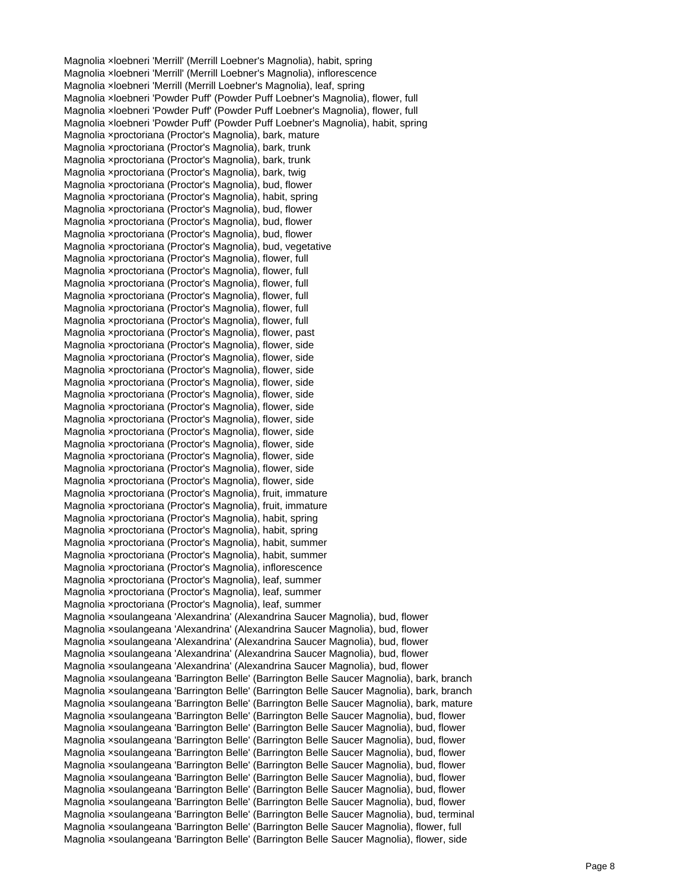Magnolia ×loebneri 'Merrill' (Merrill Loebner's Magnolia), habit, spring Magnolia ×loebneri 'Merrill' (Merrill Loebner's Magnolia), inflorescence Magnolia ×loebneri 'Merrill (Merrill Loebner's Magnolia), leaf, spring Magnolia ×loebneri 'Powder Puff' (Powder Puff Loebner's Magnolia), flower, full Magnolia ×loebneri 'Powder Puff' (Powder Puff Loebner's Magnolia), flower, full Magnolia ×loebneri 'Powder Puff' (Powder Puff Loebner's Magnolia), habit, spring Magnolia ×proctoriana (Proctor's Magnolia), bark, mature Magnolia ×proctoriana (Proctor's Magnolia), bark, trunk Magnolia ×proctoriana (Proctor's Magnolia), bark, trunk Magnolia ×proctoriana (Proctor's Magnolia), bark, twig Magnolia ×proctoriana (Proctor's Magnolia), bud, flower Magnolia ×proctoriana (Proctor's Magnolia), habit, spring Magnolia ×proctoriana (Proctor's Magnolia), bud, flower Magnolia ×proctoriana (Proctor's Magnolia), bud, flower Magnolia ×proctoriana (Proctor's Magnolia), bud, flower Magnolia ×proctoriana (Proctor's Magnolia), bud, vegetative Magnolia ×proctoriana (Proctor's Magnolia), flower, full Magnolia ×proctoriana (Proctor's Magnolia), flower, full Magnolia ×proctoriana (Proctor's Magnolia), flower, full Magnolia ×proctoriana (Proctor's Magnolia), flower, full Magnolia ×proctoriana (Proctor's Magnolia), flower, full Magnolia ×proctoriana (Proctor's Magnolia), flower, full Magnolia ×proctoriana (Proctor's Magnolia), flower, past Magnolia ×proctoriana (Proctor's Magnolia), flower, side Magnolia ×proctoriana (Proctor's Magnolia), flower, side Magnolia ×proctoriana (Proctor's Magnolia), flower, side Magnolia ×proctoriana (Proctor's Magnolia), flower, side Magnolia ×proctoriana (Proctor's Magnolia), flower, side Magnolia ×proctoriana (Proctor's Magnolia), flower, side Magnolia ×proctoriana (Proctor's Magnolia), flower, side Magnolia ×proctoriana (Proctor's Magnolia), flower, side Magnolia ×proctoriana (Proctor's Magnolia), flower, side Magnolia ×proctoriana (Proctor's Magnolia), flower, side Magnolia ×proctoriana (Proctor's Magnolia), flower, side Magnolia ×proctoriana (Proctor's Magnolia), flower, side Magnolia ×proctoriana (Proctor's Magnolia), fruit, immature Magnolia ×proctoriana (Proctor's Magnolia), fruit, immature Magnolia ×proctoriana (Proctor's Magnolia), habit, spring Magnolia ×proctoriana (Proctor's Magnolia), habit, spring Magnolia ×proctoriana (Proctor's Magnolia), habit, summer Magnolia ×proctoriana (Proctor's Magnolia), habit, summer Magnolia ×proctoriana (Proctor's Magnolia), inflorescence Magnolia ×proctoriana (Proctor's Magnolia), leaf, summer Magnolia ×proctoriana (Proctor's Magnolia), leaf, summer Magnolia ×proctoriana (Proctor's Magnolia), leaf, summer Magnolia ×soulangeana 'Alexandrina' (Alexandrina Saucer Magnolia), bud, flower Magnolia ×soulangeana 'Alexandrina' (Alexandrina Saucer Magnolia), bud, flower Magnolia ×soulangeana 'Alexandrina' (Alexandrina Saucer Magnolia), bud, flower Magnolia ×soulangeana 'Alexandrina' (Alexandrina Saucer Magnolia), bud, flower Magnolia ×soulangeana 'Alexandrina' (Alexandrina Saucer Magnolia), bud, flower Magnolia ×soulangeana 'Barrington Belle' (Barrington Belle Saucer Magnolia), bark, branch Magnolia ×soulangeana 'Barrington Belle' (Barrington Belle Saucer Magnolia), bark, branch Magnolia ×soulangeana 'Barrington Belle' (Barrington Belle Saucer Magnolia), bark, mature Magnolia ×soulangeana 'Barrington Belle' (Barrington Belle Saucer Magnolia), bud, flower Magnolia ×soulangeana 'Barrington Belle' (Barrington Belle Saucer Magnolia), bud, flower Magnolia ×soulangeana 'Barrington Belle' (Barrington Belle Saucer Magnolia), bud, flower Magnolia ×soulangeana 'Barrington Belle' (Barrington Belle Saucer Magnolia), bud, flower Magnolia ×soulangeana 'Barrington Belle' (Barrington Belle Saucer Magnolia), bud, flower Magnolia ×soulangeana 'Barrington Belle' (Barrington Belle Saucer Magnolia), bud, flower Magnolia ×soulangeana 'Barrington Belle' (Barrington Belle Saucer Magnolia), bud, flower Magnolia ×soulangeana 'Barrington Belle' (Barrington Belle Saucer Magnolia), bud, flower Magnolia ×soulangeana 'Barrington Belle' (Barrington Belle Saucer Magnolia), bud, terminal Magnolia ×soulangeana 'Barrington Belle' (Barrington Belle Saucer Magnolia), flower, full Magnolia ×soulangeana 'Barrington Belle' (Barrington Belle Saucer Magnolia), flower, side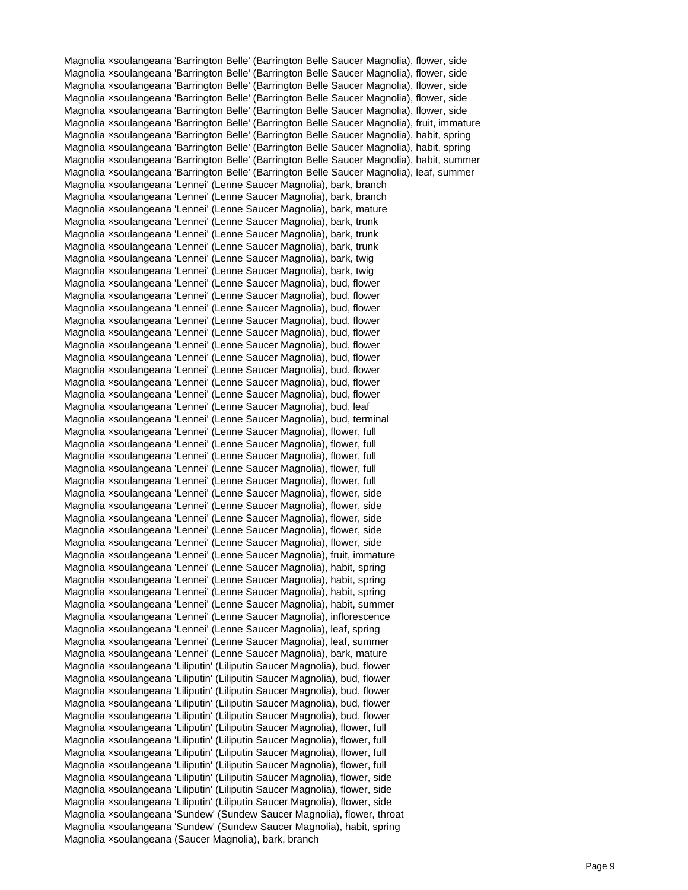Magnolia ×soulangeana 'Barrington Belle' (Barrington Belle Saucer Magnolia), flower, side Magnolia ×soulangeana 'Barrington Belle' (Barrington Belle Saucer Magnolia), flower, side Magnolia ×soulangeana 'Barrington Belle' (Barrington Belle Saucer Magnolia), flower, side Magnolia ×soulangeana 'Barrington Belle' (Barrington Belle Saucer Magnolia), flower, side Magnolia ×soulangeana 'Barrington Belle' (Barrington Belle Saucer Magnolia), flower, side Magnolia ×soulangeana 'Barrington Belle' (Barrington Belle Saucer Magnolia), fruit, immature Magnolia ×soulangeana 'Barrington Belle' (Barrington Belle Saucer Magnolia), habit, spring Magnolia ×soulangeana 'Barrington Belle' (Barrington Belle Saucer Magnolia), habit, spring Magnolia ×soulangeana 'Barrington Belle' (Barrington Belle Saucer Magnolia), habit, summer Magnolia ×soulangeana 'Barrington Belle' (Barrington Belle Saucer Magnolia), leaf, summer Magnolia ×soulangeana 'Lennei' (Lenne Saucer Magnolia), bark, branch Magnolia ×soulangeana 'Lennei' (Lenne Saucer Magnolia), bark, branch Magnolia ×soulangeana 'Lennei' (Lenne Saucer Magnolia), bark, mature Magnolia ×soulangeana 'Lennei' (Lenne Saucer Magnolia), bark, trunk Magnolia ×soulangeana 'Lennei' (Lenne Saucer Magnolia), bark, trunk Magnolia ×soulangeana 'Lennei' (Lenne Saucer Magnolia), bark, trunk Magnolia ×soulangeana 'Lennei' (Lenne Saucer Magnolia), bark, twig Magnolia ×soulangeana 'Lennei' (Lenne Saucer Magnolia), bark, twig Magnolia ×soulangeana 'Lennei' (Lenne Saucer Magnolia), bud, flower Magnolia ×soulangeana 'Lennei' (Lenne Saucer Magnolia), bud, flower Magnolia ×soulangeana 'Lennei' (Lenne Saucer Magnolia), bud, flower Magnolia ×soulangeana 'Lennei' (Lenne Saucer Magnolia), bud, flower Magnolia ×soulangeana 'Lennei' (Lenne Saucer Magnolia), bud, flower Magnolia ×soulangeana 'Lennei' (Lenne Saucer Magnolia), bud, flower Magnolia ×soulangeana 'Lennei' (Lenne Saucer Magnolia), bud, flower Magnolia ×soulangeana 'Lennei' (Lenne Saucer Magnolia), bud, flower Magnolia ×soulangeana 'Lennei' (Lenne Saucer Magnolia), bud, flower Magnolia ×soulangeana 'Lennei' (Lenne Saucer Magnolia), bud, flower Magnolia ×soulangeana 'Lennei' (Lenne Saucer Magnolia), bud, leaf Magnolia ×soulangeana 'Lennei' (Lenne Saucer Magnolia), bud, terminal Magnolia ×soulangeana 'Lennei' (Lenne Saucer Magnolia), flower, full Magnolia ×soulangeana 'Lennei' (Lenne Saucer Magnolia), flower, full Magnolia ×soulangeana 'Lennei' (Lenne Saucer Magnolia), flower, full Magnolia ×soulangeana 'Lennei' (Lenne Saucer Magnolia), flower, full Magnolia ×soulangeana 'Lennei' (Lenne Saucer Magnolia), flower, full Magnolia ×soulangeana 'Lennei' (Lenne Saucer Magnolia), flower, side Magnolia ×soulangeana 'Lennei' (Lenne Saucer Magnolia), flower, side Magnolia ×soulangeana 'Lennei' (Lenne Saucer Magnolia), flower, side Magnolia ×soulangeana 'Lennei' (Lenne Saucer Magnolia), flower, side Magnolia ×soulangeana 'Lennei' (Lenne Saucer Magnolia), flower, side Magnolia ×soulangeana 'Lennei' (Lenne Saucer Magnolia), fruit, immature Magnolia ×soulangeana 'Lennei' (Lenne Saucer Magnolia), habit, spring Magnolia ×soulangeana 'Lennei' (Lenne Saucer Magnolia), habit, spring Magnolia ×soulangeana 'Lennei' (Lenne Saucer Magnolia), habit, spring Magnolia ×soulangeana 'Lennei' (Lenne Saucer Magnolia), habit, summer Magnolia ×soulangeana 'Lennei' (Lenne Saucer Magnolia), inflorescence Magnolia ×soulangeana 'Lennei' (Lenne Saucer Magnolia), leaf, spring Magnolia ×soulangeana 'Lennei' (Lenne Saucer Magnolia), leaf, summer Magnolia ×soulangeana 'Lennei' (Lenne Saucer Magnolia), bark, mature Magnolia ×soulangeana 'Liliputin' (Liliputin Saucer Magnolia), bud, flower Magnolia ×soulangeana 'Liliputin' (Liliputin Saucer Magnolia), bud, flower Magnolia ×soulangeana 'Liliputin' (Liliputin Saucer Magnolia), bud, flower Magnolia ×soulangeana 'Liliputin' (Liliputin Saucer Magnolia), bud, flower Magnolia ×soulangeana 'Liliputin' (Liliputin Saucer Magnolia), bud, flower Magnolia ×soulangeana 'Liliputin' (Liliputin Saucer Magnolia), flower, full Magnolia ×soulangeana 'Liliputin' (Liliputin Saucer Magnolia), flower, full Magnolia ×soulangeana 'Liliputin' (Liliputin Saucer Magnolia), flower, full Magnolia ×soulangeana 'Liliputin' (Liliputin Saucer Magnolia), flower, full Magnolia ×soulangeana 'Liliputin' (Liliputin Saucer Magnolia), flower, side Magnolia ×soulangeana 'Liliputin' (Liliputin Saucer Magnolia), flower, side Magnolia ×soulangeana 'Liliputin' (Liliputin Saucer Magnolia), flower, side Magnolia ×soulangeana 'Sundew' (Sundew Saucer Magnolia), flower, throat Magnolia ×soulangeana 'Sundew' (Sundew Saucer Magnolia), habit, spring Magnolia ×soulangeana (Saucer Magnolia), bark, branch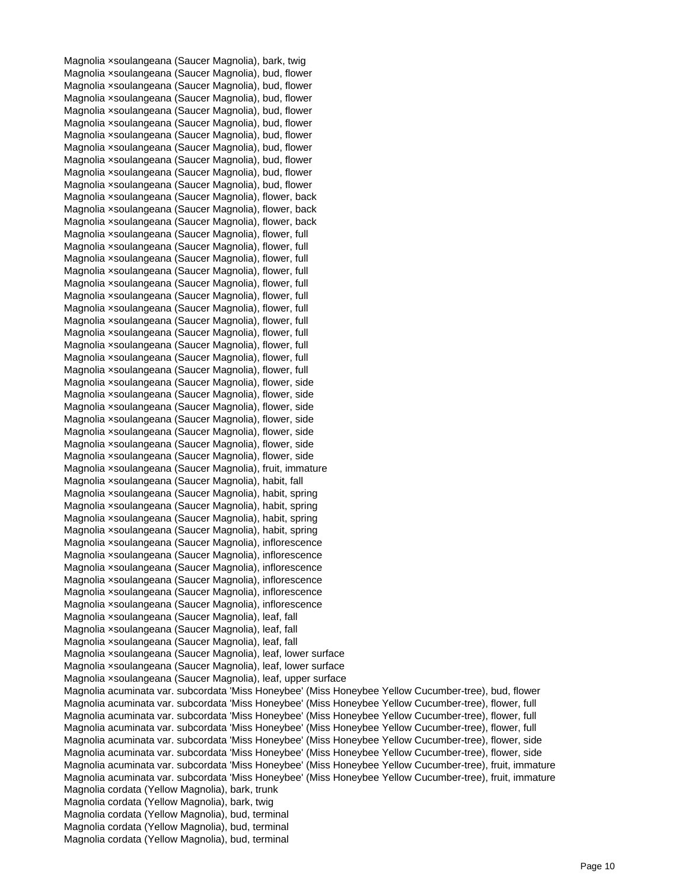Magnolia ×soulangeana (Saucer Magnolia), bark, twig Magnolia ×soulangeana (Saucer Magnolia), bud, flower Magnolia ×soulangeana (Saucer Magnolia), bud, flower Magnolia ×soulangeana (Saucer Magnolia), bud, flower Magnolia ×soulangeana (Saucer Magnolia), bud, flower Magnolia ×soulangeana (Saucer Magnolia), bud, flower Magnolia ×soulangeana (Saucer Magnolia), bud, flower Magnolia ×soulangeana (Saucer Magnolia), bud, flower Magnolia ×soulangeana (Saucer Magnolia), bud, flower Magnolia ×soulangeana (Saucer Magnolia), bud, flower Magnolia ×soulangeana (Saucer Magnolia), bud, flower Magnolia ×soulangeana (Saucer Magnolia), flower, back Magnolia ×soulangeana (Saucer Magnolia), flower, back Magnolia ×soulangeana (Saucer Magnolia), flower, back Magnolia ×soulangeana (Saucer Magnolia), flower, full Magnolia ×soulangeana (Saucer Magnolia), flower, full Magnolia ×soulangeana (Saucer Magnolia), flower, full Magnolia ×soulangeana (Saucer Magnolia), flower, full Magnolia ×soulangeana (Saucer Magnolia), flower, full Magnolia ×soulangeana (Saucer Magnolia), flower, full Magnolia ×soulangeana (Saucer Magnolia), flower, full Magnolia ×soulangeana (Saucer Magnolia), flower, full Magnolia ×soulangeana (Saucer Magnolia), flower, full Magnolia ×soulangeana (Saucer Magnolia), flower, full Magnolia ×soulangeana (Saucer Magnolia), flower, full Magnolia ×soulangeana (Saucer Magnolia), flower, full Magnolia ×soulangeana (Saucer Magnolia), flower, side Magnolia ×soulangeana (Saucer Magnolia), flower, side Magnolia ×soulangeana (Saucer Magnolia), flower, side Magnolia ×soulangeana (Saucer Magnolia), flower, side Magnolia ×soulangeana (Saucer Magnolia), flower, side Magnolia ×soulangeana (Saucer Magnolia), flower, side Magnolia ×soulangeana (Saucer Magnolia), flower, side Magnolia ×soulangeana (Saucer Magnolia), fruit, immature Magnolia ×soulangeana (Saucer Magnolia), habit, fall Magnolia ×soulangeana (Saucer Magnolia), habit, spring Magnolia ×soulangeana (Saucer Magnolia), habit, spring Magnolia ×soulangeana (Saucer Magnolia), habit, spring Magnolia ×soulangeana (Saucer Magnolia), habit, spring Magnolia ×soulangeana (Saucer Magnolia), inflorescence Magnolia ×soulangeana (Saucer Magnolia), inflorescence Magnolia ×soulangeana (Saucer Magnolia), inflorescence Magnolia ×soulangeana (Saucer Magnolia), inflorescence Magnolia ×soulangeana (Saucer Magnolia), inflorescence Magnolia ×soulangeana (Saucer Magnolia), inflorescence Magnolia ×soulangeana (Saucer Magnolia), leaf, fall Magnolia ×soulangeana (Saucer Magnolia), leaf, fall Magnolia ×soulangeana (Saucer Magnolia), leaf, fall Magnolia ×soulangeana (Saucer Magnolia), leaf, lower surface Magnolia ×soulangeana (Saucer Magnolia), leaf, lower surface Magnolia ×soulangeana (Saucer Magnolia), leaf, upper surface Magnolia acuminata var. subcordata 'Miss Honeybee' (Miss Honeybee Yellow Cucumber-tree), bud, flower Magnolia acuminata var. subcordata 'Miss Honeybee' (Miss Honeybee Yellow Cucumber-tree), flower, full Magnolia acuminata var. subcordata 'Miss Honeybee' (Miss Honeybee Yellow Cucumber-tree), flower, full Magnolia acuminata var. subcordata 'Miss Honeybee' (Miss Honeybee Yellow Cucumber-tree), flower, full Magnolia acuminata var. subcordata 'Miss Honeybee' (Miss Honeybee Yellow Cucumber-tree), flower, side Magnolia acuminata var. subcordata 'Miss Honeybee' (Miss Honeybee Yellow Cucumber-tree), flower, side Magnolia acuminata var. subcordata 'Miss Honeybee' (Miss Honeybee Yellow Cucumber-tree), fruit, immature Magnolia acuminata var. subcordata 'Miss Honeybee' (Miss Honeybee Yellow Cucumber-tree), fruit, immature Magnolia cordata (Yellow Magnolia), bark, trunk Magnolia cordata (Yellow Magnolia), bark, twig Magnolia cordata (Yellow Magnolia), bud, terminal Magnolia cordata (Yellow Magnolia), bud, terminal Magnolia cordata (Yellow Magnolia), bud, terminal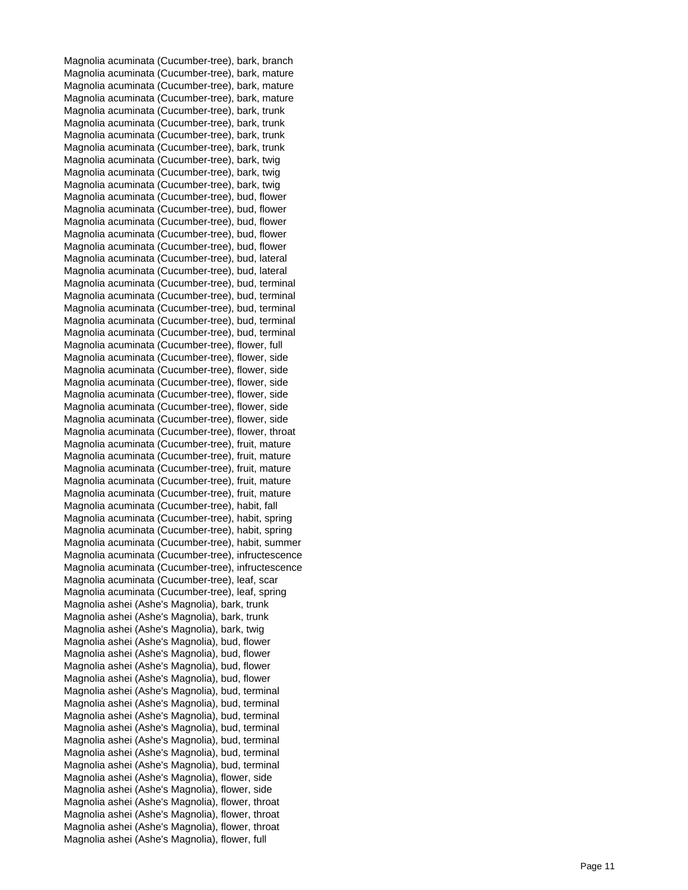Magnolia acuminata (Cucumber-tree), bark, branch Magnolia acuminata (Cucumber-tree), bark, mature Magnolia acuminata (Cucumber-tree), bark, mature Magnolia acuminata (Cucumber-tree), bark, mature Magnolia acuminata (Cucumber-tree), bark, trunk Magnolia acuminata (Cucumber-tree), bark, trunk Magnolia acuminata (Cucumber-tree), bark, trunk Magnolia acuminata (Cucumber-tree), bark, trunk Magnolia acuminata (Cucumber-tree), bark, twig Magnolia acuminata (Cucumber-tree), bark, twig Magnolia acuminata (Cucumber-tree), bark, twig Magnolia acuminata (Cucumber-tree), bud, flower Magnolia acuminata (Cucumber-tree), bud, flower Magnolia acuminata (Cucumber-tree), bud, flower Magnolia acuminata (Cucumber-tree), bud, flower Magnolia acuminata (Cucumber-tree), bud, flower Magnolia acuminata (Cucumber-tree), bud, lateral Magnolia acuminata (Cucumber-tree), bud, lateral Magnolia acuminata (Cucumber-tree), bud, terminal Magnolia acuminata (Cucumber-tree), bud, terminal Magnolia acuminata (Cucumber-tree), bud, terminal Magnolia acuminata (Cucumber-tree), bud, terminal Magnolia acuminata (Cucumber-tree), bud, terminal Magnolia acuminata (Cucumber-tree), flower, full Magnolia acuminata (Cucumber-tree), flower, side Magnolia acuminata (Cucumber-tree), flower, side Magnolia acuminata (Cucumber-tree), flower, side Magnolia acuminata (Cucumber-tree), flower, side Magnolia acuminata (Cucumber-tree), flower, side Magnolia acuminata (Cucumber-tree), flower, side Magnolia acuminata (Cucumber-tree), flower, throat Magnolia acuminata (Cucumber-tree), fruit, mature Magnolia acuminata (Cucumber-tree), fruit, mature Magnolia acuminata (Cucumber-tree), fruit, mature Magnolia acuminata (Cucumber-tree), fruit, mature Magnolia acuminata (Cucumber-tree), fruit, mature Magnolia acuminata (Cucumber-tree), habit, fall Magnolia acuminata (Cucumber-tree), habit, spring Magnolia acuminata (Cucumber-tree), habit, spring Magnolia acuminata (Cucumber-tree), habit, summer Magnolia acuminata (Cucumber-tree), infructescence Magnolia acuminata (Cucumber-tree), infructescence Magnolia acuminata (Cucumber-tree), leaf, scar Magnolia acuminata (Cucumber-tree), leaf, spring Magnolia ashei (Ashe's Magnolia), bark, trunk Magnolia ashei (Ashe's Magnolia), bark, trunk Magnolia ashei (Ashe's Magnolia), bark, twig Magnolia ashei (Ashe's Magnolia), bud, flower Magnolia ashei (Ashe's Magnolia), bud, flower Magnolia ashei (Ashe's Magnolia), bud, flower Magnolia ashei (Ashe's Magnolia), bud, flower Magnolia ashei (Ashe's Magnolia), bud, terminal Magnolia ashei (Ashe's Magnolia), bud, terminal Magnolia ashei (Ashe's Magnolia), bud, terminal Magnolia ashei (Ashe's Magnolia), bud, terminal Magnolia ashei (Ashe's Magnolia), bud, terminal Magnolia ashei (Ashe's Magnolia), bud, terminal Magnolia ashei (Ashe's Magnolia), bud, terminal Magnolia ashei (Ashe's Magnolia), flower, side Magnolia ashei (Ashe's Magnolia), flower, side Magnolia ashei (Ashe's Magnolia), flower, throat Magnolia ashei (Ashe's Magnolia), flower, throat Magnolia ashei (Ashe's Magnolia), flower, throat Magnolia ashei (Ashe's Magnolia), flower, full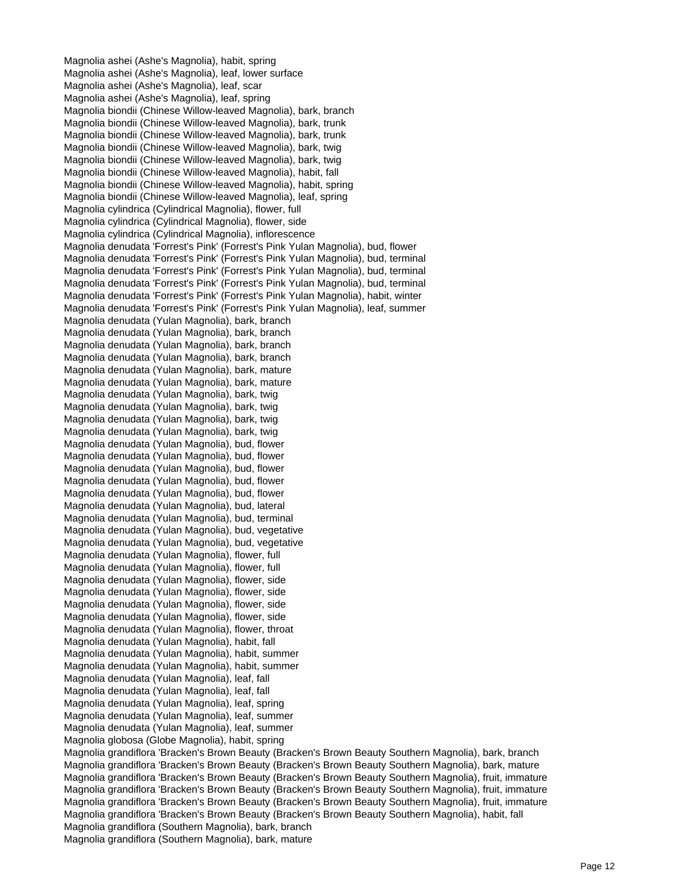Magnolia ashei (Ashe's Magnolia), habit, spring Magnolia ashei (Ashe's Magnolia), leaf, lower surface Magnolia ashei (Ashe's Magnolia), leaf, scar Magnolia ashei (Ashe's Magnolia), leaf, spring Magnolia biondii (Chinese Willow-leaved Magnolia), bark, branch Magnolia biondii (Chinese Willow-leaved Magnolia), bark, trunk Magnolia biondii (Chinese Willow-leaved Magnolia), bark, trunk Magnolia biondii (Chinese Willow-leaved Magnolia), bark, twig Magnolia biondii (Chinese Willow-leaved Magnolia), bark, twig Magnolia biondii (Chinese Willow-leaved Magnolia), habit, fall Magnolia biondii (Chinese Willow-leaved Magnolia), habit, spring Magnolia biondii (Chinese Willow-leaved Magnolia), leaf, spring Magnolia cylindrica (Cylindrical Magnolia), flower, full Magnolia cylindrica (Cylindrical Magnolia), flower, side Magnolia cylindrica (Cylindrical Magnolia), inflorescence Magnolia denudata 'Forrest's Pink' (Forrest's Pink Yulan Magnolia), bud, flower Magnolia denudata 'Forrest's Pink' (Forrest's Pink Yulan Magnolia), bud, terminal Magnolia denudata 'Forrest's Pink' (Forrest's Pink Yulan Magnolia), bud, terminal Magnolia denudata 'Forrest's Pink' (Forrest's Pink Yulan Magnolia), bud, terminal Magnolia denudata 'Forrest's Pink' (Forrest's Pink Yulan Magnolia), habit, winter Magnolia denudata 'Forrest's Pink' (Forrest's Pink Yulan Magnolia), leaf, summer Magnolia denudata (Yulan Magnolia), bark, branch Magnolia denudata (Yulan Magnolia), bark, branch Magnolia denudata (Yulan Magnolia), bark, branch Magnolia denudata (Yulan Magnolia), bark, branch Magnolia denudata (Yulan Magnolia), bark, mature Magnolia denudata (Yulan Magnolia), bark, mature Magnolia denudata (Yulan Magnolia), bark, twig Magnolia denudata (Yulan Magnolia), bark, twig Magnolia denudata (Yulan Magnolia), bark, twig Magnolia denudata (Yulan Magnolia), bark, twig Magnolia denudata (Yulan Magnolia), bud, flower Magnolia denudata (Yulan Magnolia), bud, flower Magnolia denudata (Yulan Magnolia), bud, flower Magnolia denudata (Yulan Magnolia), bud, flower Magnolia denudata (Yulan Magnolia), bud, flower Magnolia denudata (Yulan Magnolia), bud, lateral Magnolia denudata (Yulan Magnolia), bud, terminal Magnolia denudata (Yulan Magnolia), bud, vegetative Magnolia denudata (Yulan Magnolia), bud, vegetative Magnolia denudata (Yulan Magnolia), flower, full Magnolia denudata (Yulan Magnolia), flower, full Magnolia denudata (Yulan Magnolia), flower, side Magnolia denudata (Yulan Magnolia), flower, side Magnolia denudata (Yulan Magnolia), flower, side Magnolia denudata (Yulan Magnolia), flower, side Magnolia denudata (Yulan Magnolia), flower, throat Magnolia denudata (Yulan Magnolia), habit, fall Magnolia denudata (Yulan Magnolia), habit, summer Magnolia denudata (Yulan Magnolia), habit, summer Magnolia denudata (Yulan Magnolia), leaf, fall Magnolia denudata (Yulan Magnolia), leaf, fall Magnolia denudata (Yulan Magnolia), leaf, spring Magnolia denudata (Yulan Magnolia), leaf, summer Magnolia denudata (Yulan Magnolia), leaf, summer Magnolia globosa (Globe Magnolia), habit, spring Magnolia grandiflora 'Bracken's Brown Beauty (Bracken's Brown Beauty Southern Magnolia), bark, branch Magnolia grandiflora 'Bracken's Brown Beauty (Bracken's Brown Beauty Southern Magnolia), bark, mature Magnolia grandiflora 'Bracken's Brown Beauty (Bracken's Brown Beauty Southern Magnolia), fruit, immature Magnolia grandiflora 'Bracken's Brown Beauty (Bracken's Brown Beauty Southern Magnolia), fruit, immature Magnolia grandiflora 'Bracken's Brown Beauty (Bracken's Brown Beauty Southern Magnolia), fruit, immature Magnolia grandiflora 'Bracken's Brown Beauty (Bracken's Brown Beauty Southern Magnolia), habit, fall Magnolia grandiflora (Southern Magnolia), bark, branch Magnolia grandiflora (Southern Magnolia), bark, mature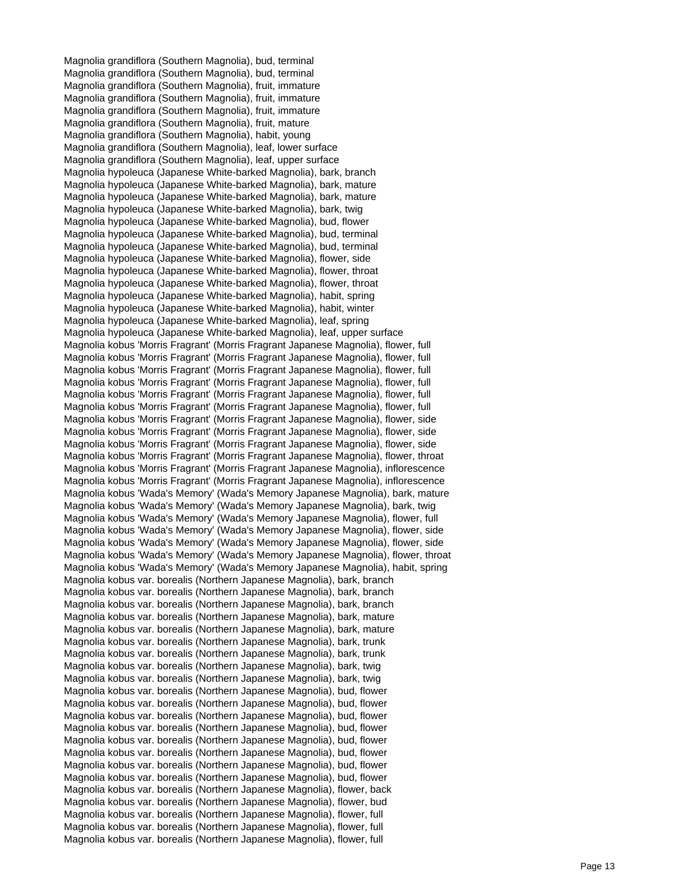Magnolia grandiflora (Southern Magnolia), bud, terminal Magnolia grandiflora (Southern Magnolia), bud, terminal Magnolia grandiflora (Southern Magnolia), fruit, immature Magnolia grandiflora (Southern Magnolia), fruit, immature Magnolia grandiflora (Southern Magnolia), fruit, immature Magnolia grandiflora (Southern Magnolia), fruit, mature Magnolia grandiflora (Southern Magnolia), habit, young Magnolia grandiflora (Southern Magnolia), leaf, lower surface Magnolia grandiflora (Southern Magnolia), leaf, upper surface Magnolia hypoleuca (Japanese White-barked Magnolia), bark, branch Magnolia hypoleuca (Japanese White-barked Magnolia), bark, mature Magnolia hypoleuca (Japanese White-barked Magnolia), bark, mature Magnolia hypoleuca (Japanese White-barked Magnolia), bark, twig Magnolia hypoleuca (Japanese White-barked Magnolia), bud, flower Magnolia hypoleuca (Japanese White-barked Magnolia), bud, terminal Magnolia hypoleuca (Japanese White-barked Magnolia), bud, terminal Magnolia hypoleuca (Japanese White-barked Magnolia), flower, side Magnolia hypoleuca (Japanese White-barked Magnolia), flower, throat Magnolia hypoleuca (Japanese White-barked Magnolia), flower, throat Magnolia hypoleuca (Japanese White-barked Magnolia), habit, spring Magnolia hypoleuca (Japanese White-barked Magnolia), habit, winter Magnolia hypoleuca (Japanese White-barked Magnolia), leaf, spring Magnolia hypoleuca (Japanese White-barked Magnolia), leaf, upper surface Magnolia kobus 'Morris Fragrant' (Morris Fragrant Japanese Magnolia), flower, full Magnolia kobus 'Morris Fragrant' (Morris Fragrant Japanese Magnolia), flower, full Magnolia kobus 'Morris Fragrant' (Morris Fragrant Japanese Magnolia), flower, full Magnolia kobus 'Morris Fragrant' (Morris Fragrant Japanese Magnolia), flower, full Magnolia kobus 'Morris Fragrant' (Morris Fragrant Japanese Magnolia), flower, full Magnolia kobus 'Morris Fragrant' (Morris Fragrant Japanese Magnolia), flower, full Magnolia kobus 'Morris Fragrant' (Morris Fragrant Japanese Magnolia), flower, side Magnolia kobus 'Morris Fragrant' (Morris Fragrant Japanese Magnolia), flower, side Magnolia kobus 'Morris Fragrant' (Morris Fragrant Japanese Magnolia), flower, side Magnolia kobus 'Morris Fragrant' (Morris Fragrant Japanese Magnolia), flower, throat Magnolia kobus 'Morris Fragrant' (Morris Fragrant Japanese Magnolia), inflorescence Magnolia kobus 'Morris Fragrant' (Morris Fragrant Japanese Magnolia), inflorescence Magnolia kobus 'Wada's Memory' (Wada's Memory Japanese Magnolia), bark, mature Magnolia kobus 'Wada's Memory' (Wada's Memory Japanese Magnolia), bark, twig Magnolia kobus 'Wada's Memory' (Wada's Memory Japanese Magnolia), flower, full Magnolia kobus 'Wada's Memory' (Wada's Memory Japanese Magnolia), flower, side Magnolia kobus 'Wada's Memory' (Wada's Memory Japanese Magnolia), flower, side Magnolia kobus 'Wada's Memory' (Wada's Memory Japanese Magnolia), flower, throat Magnolia kobus 'Wada's Memory' (Wada's Memory Japanese Magnolia), habit, spring Magnolia kobus var. borealis (Northern Japanese Magnolia), bark, branch Magnolia kobus var. borealis (Northern Japanese Magnolia), bark, branch Magnolia kobus var. borealis (Northern Japanese Magnolia), bark, branch Magnolia kobus var. borealis (Northern Japanese Magnolia), bark, mature Magnolia kobus var. borealis (Northern Japanese Magnolia), bark, mature Magnolia kobus var. borealis (Northern Japanese Magnolia), bark, trunk Magnolia kobus var. borealis (Northern Japanese Magnolia), bark, trunk Magnolia kobus var. borealis (Northern Japanese Magnolia), bark, twig Magnolia kobus var. borealis (Northern Japanese Magnolia), bark, twig Magnolia kobus var. borealis (Northern Japanese Magnolia), bud, flower Magnolia kobus var. borealis (Northern Japanese Magnolia), bud, flower Magnolia kobus var. borealis (Northern Japanese Magnolia), bud, flower Magnolia kobus var. borealis (Northern Japanese Magnolia), bud, flower Magnolia kobus var. borealis (Northern Japanese Magnolia), bud, flower Magnolia kobus var. borealis (Northern Japanese Magnolia), bud, flower Magnolia kobus var. borealis (Northern Japanese Magnolia), bud, flower Magnolia kobus var. borealis (Northern Japanese Magnolia), bud, flower Magnolia kobus var. borealis (Northern Japanese Magnolia), flower, back Magnolia kobus var. borealis (Northern Japanese Magnolia), flower, bud Magnolia kobus var. borealis (Northern Japanese Magnolia), flower, full Magnolia kobus var. borealis (Northern Japanese Magnolia), flower, full Magnolia kobus var. borealis (Northern Japanese Magnolia), flower, full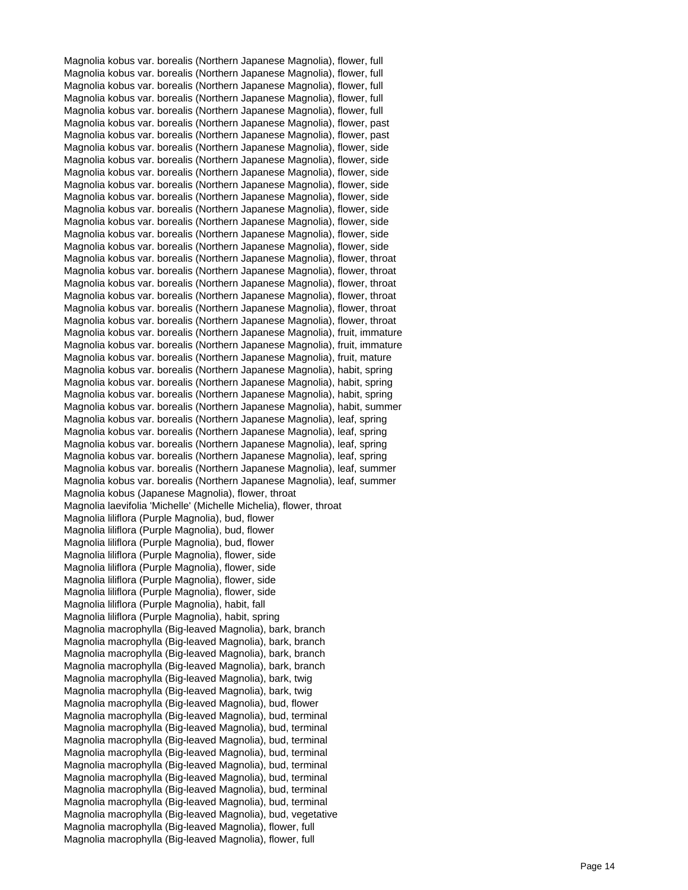Magnolia kobus var. borealis (Northern Japanese Magnolia), flower, full Magnolia kobus var. borealis (Northern Japanese Magnolia), flower, full Magnolia kobus var. borealis (Northern Japanese Magnolia), flower, full Magnolia kobus var. borealis (Northern Japanese Magnolia), flower, full Magnolia kobus var. borealis (Northern Japanese Magnolia), flower, full Magnolia kobus var. borealis (Northern Japanese Magnolia), flower, past Magnolia kobus var. borealis (Northern Japanese Magnolia), flower, past Magnolia kobus var. borealis (Northern Japanese Magnolia), flower, side Magnolia kobus var. borealis (Northern Japanese Magnolia), flower, side Magnolia kobus var. borealis (Northern Japanese Magnolia), flower, side Magnolia kobus var. borealis (Northern Japanese Magnolia), flower, side Magnolia kobus var. borealis (Northern Japanese Magnolia), flower, side Magnolia kobus var. borealis (Northern Japanese Magnolia), flower, side Magnolia kobus var. borealis (Northern Japanese Magnolia), flower, side Magnolia kobus var. borealis (Northern Japanese Magnolia), flower, side Magnolia kobus var. borealis (Northern Japanese Magnolia), flower, side Magnolia kobus var. borealis (Northern Japanese Magnolia), flower, throat Magnolia kobus var. borealis (Northern Japanese Magnolia), flower, throat Magnolia kobus var. borealis (Northern Japanese Magnolia), flower, throat Magnolia kobus var. borealis (Northern Japanese Magnolia), flower, throat Magnolia kobus var. borealis (Northern Japanese Magnolia), flower, throat Magnolia kobus var. borealis (Northern Japanese Magnolia), flower, throat Magnolia kobus var. borealis (Northern Japanese Magnolia), fruit, immature Magnolia kobus var. borealis (Northern Japanese Magnolia), fruit, immature Magnolia kobus var. borealis (Northern Japanese Magnolia), fruit, mature Magnolia kobus var. borealis (Northern Japanese Magnolia), habit, spring Magnolia kobus var. borealis (Northern Japanese Magnolia), habit, spring Magnolia kobus var. borealis (Northern Japanese Magnolia), habit, spring Magnolia kobus var. borealis (Northern Japanese Magnolia), habit, summer Magnolia kobus var. borealis (Northern Japanese Magnolia), leaf, spring Magnolia kobus var. borealis (Northern Japanese Magnolia), leaf, spring Magnolia kobus var. borealis (Northern Japanese Magnolia), leaf, spring Magnolia kobus var. borealis (Northern Japanese Magnolia), leaf, spring Magnolia kobus var. borealis (Northern Japanese Magnolia), leaf, summer Magnolia kobus var. borealis (Northern Japanese Magnolia), leaf, summer Magnolia kobus (Japanese Magnolia), flower, throat Magnolia laevifolia 'Michelle' (Michelle Michelia), flower, throat Magnolia liliflora (Purple Magnolia), bud, flower Magnolia liliflora (Purple Magnolia), bud, flower Magnolia liliflora (Purple Magnolia), bud, flower Magnolia liliflora (Purple Magnolia), flower, side Magnolia liliflora (Purple Magnolia), flower, side Magnolia liliflora (Purple Magnolia), flower, side Magnolia liliflora (Purple Magnolia), flower, side Magnolia liliflora (Purple Magnolia), habit, fall Magnolia liliflora (Purple Magnolia), habit, spring Magnolia macrophylla (Big-leaved Magnolia), bark, branch Magnolia macrophylla (Big-leaved Magnolia), bark, branch Magnolia macrophylla (Big-leaved Magnolia), bark, branch Magnolia macrophylla (Big-leaved Magnolia), bark, branch Magnolia macrophylla (Big-leaved Magnolia), bark, twig Magnolia macrophylla (Big-leaved Magnolia), bark, twig Magnolia macrophylla (Big-leaved Magnolia), bud, flower Magnolia macrophylla (Big-leaved Magnolia), bud, terminal Magnolia macrophylla (Big-leaved Magnolia), bud, terminal Magnolia macrophylla (Big-leaved Magnolia), bud, terminal Magnolia macrophylla (Big-leaved Magnolia), bud, terminal Magnolia macrophylla (Big-leaved Magnolia), bud, terminal Magnolia macrophylla (Big-leaved Magnolia), bud, terminal Magnolia macrophylla (Big-leaved Magnolia), bud, terminal Magnolia macrophylla (Big-leaved Magnolia), bud, terminal Magnolia macrophylla (Big-leaved Magnolia), bud, vegetative Magnolia macrophylla (Big-leaved Magnolia), flower, full Magnolia macrophylla (Big-leaved Magnolia), flower, full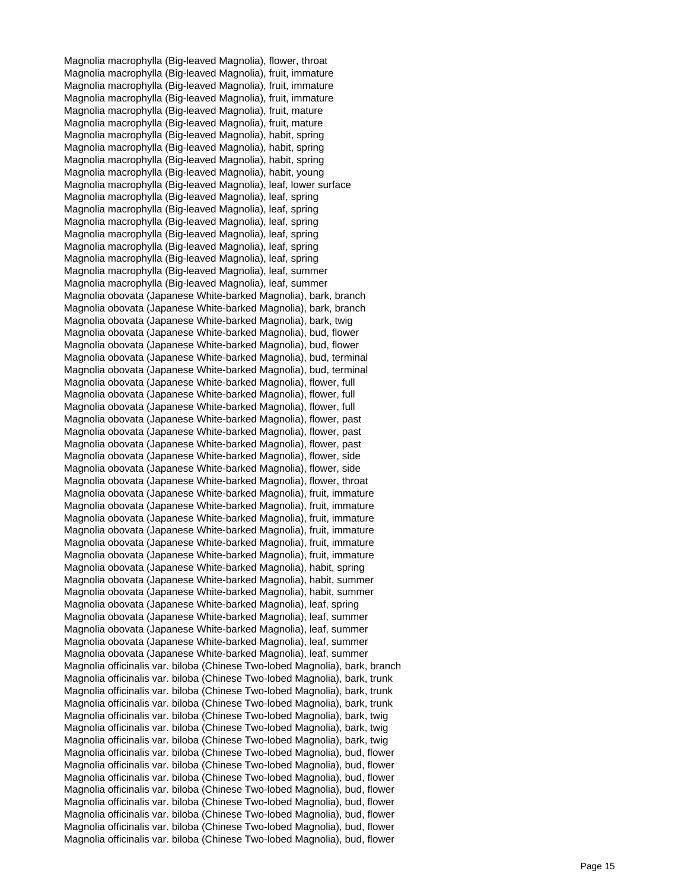Magnolia macrophylla (Big-leaved Magnolia), flower, throat Magnolia macrophylla (Big-leaved Magnolia), fruit, immature Magnolia macrophylla (Big-leaved Magnolia), fruit, immature Magnolia macrophylla (Big-leaved Magnolia), fruit, immature Magnolia macrophylla (Big-leaved Magnolia), fruit, mature Magnolia macrophylla (Big-leaved Magnolia), fruit, mature Magnolia macrophylla (Big-leaved Magnolia), habit, spring Magnolia macrophylla (Big-leaved Magnolia), habit, spring Magnolia macrophylla (Big-leaved Magnolia), habit, spring Magnolia macrophylla (Big-leaved Magnolia), habit, young Magnolia macrophylla (Big-leaved Magnolia), leaf, lower surface Magnolia macrophylla (Big-leaved Magnolia), leaf, spring Magnolia macrophylla (Big-leaved Magnolia), leaf, spring Magnolia macrophylla (Big-leaved Magnolia), leaf, spring Magnolia macrophylla (Big-leaved Magnolia), leaf, spring Magnolia macrophylla (Big-leaved Magnolia), leaf, spring Magnolia macrophylla (Big-leaved Magnolia), leaf, spring Magnolia macrophylla (Big-leaved Magnolia), leaf, summer Magnolia macrophylla (Big-leaved Magnolia), leaf, summer Magnolia obovata (Japanese White-barked Magnolia), bark, branch Magnolia obovata (Japanese White-barked Magnolia), bark, branch Magnolia obovata (Japanese White-barked Magnolia), bark, twig Magnolia obovata (Japanese White-barked Magnolia), bud, flower Magnolia obovata (Japanese White-barked Magnolia), bud, flower Magnolia obovata (Japanese White-barked Magnolia), bud, terminal Magnolia obovata (Japanese White-barked Magnolia), bud, terminal Magnolia obovata (Japanese White-barked Magnolia), flower, full Magnolia obovata (Japanese White-barked Magnolia), flower, full Magnolia obovata (Japanese White-barked Magnolia), flower, full Magnolia obovata (Japanese White-barked Magnolia), flower, past Magnolia obovata (Japanese White-barked Magnolia), flower, past Magnolia obovata (Japanese White-barked Magnolia), flower, past Magnolia obovata (Japanese White-barked Magnolia), flower, side Magnolia obovata (Japanese White-barked Magnolia), flower, side Magnolia obovata (Japanese White-barked Magnolia), flower, throat Magnolia obovata (Japanese White-barked Magnolia), fruit, immature Magnolia obovata (Japanese White-barked Magnolia), fruit, immature Magnolia obovata (Japanese White-barked Magnolia), fruit, immature Magnolia obovata (Japanese White-barked Magnolia), fruit, immature Magnolia obovata (Japanese White-barked Magnolia), fruit, immature Magnolia obovata (Japanese White-barked Magnolia), fruit, immature Magnolia obovata (Japanese White-barked Magnolia), habit, spring Magnolia obovata (Japanese White-barked Magnolia), habit, summer Magnolia obovata (Japanese White-barked Magnolia), habit, summer Magnolia obovata (Japanese White-barked Magnolia), leaf, spring Magnolia obovata (Japanese White-barked Magnolia), leaf, summer Magnolia obovata (Japanese White-barked Magnolia), leaf, summer Magnolia obovata (Japanese White-barked Magnolia), leaf, summer Magnolia obovata (Japanese White-barked Magnolia), leaf, summer Magnolia officinalis var. biloba (Chinese Two-lobed Magnolia), bark, branch Magnolia officinalis var. biloba (Chinese Two-lobed Magnolia), bark, trunk Magnolia officinalis var. biloba (Chinese Two-lobed Magnolia), bark, trunk Magnolia officinalis var. biloba (Chinese Two-lobed Magnolia), bark, trunk Magnolia officinalis var. biloba (Chinese Two-lobed Magnolia), bark, twig Magnolia officinalis var. biloba (Chinese Two-lobed Magnolia), bark, twig Magnolia officinalis var. biloba (Chinese Two-lobed Magnolia), bark, twig Magnolia officinalis var. biloba (Chinese Two-lobed Magnolia), bud, flower Magnolia officinalis var. biloba (Chinese Two-lobed Magnolia), bud, flower Magnolia officinalis var. biloba (Chinese Two-lobed Magnolia), bud, flower Magnolia officinalis var. biloba (Chinese Two-lobed Magnolia), bud, flower Magnolia officinalis var. biloba (Chinese Two-lobed Magnolia), bud, flower Magnolia officinalis var. biloba (Chinese Two-lobed Magnolia), bud, flower Magnolia officinalis var. biloba (Chinese Two-lobed Magnolia), bud, flower Magnolia officinalis var. biloba (Chinese Two-lobed Magnolia), bud, flower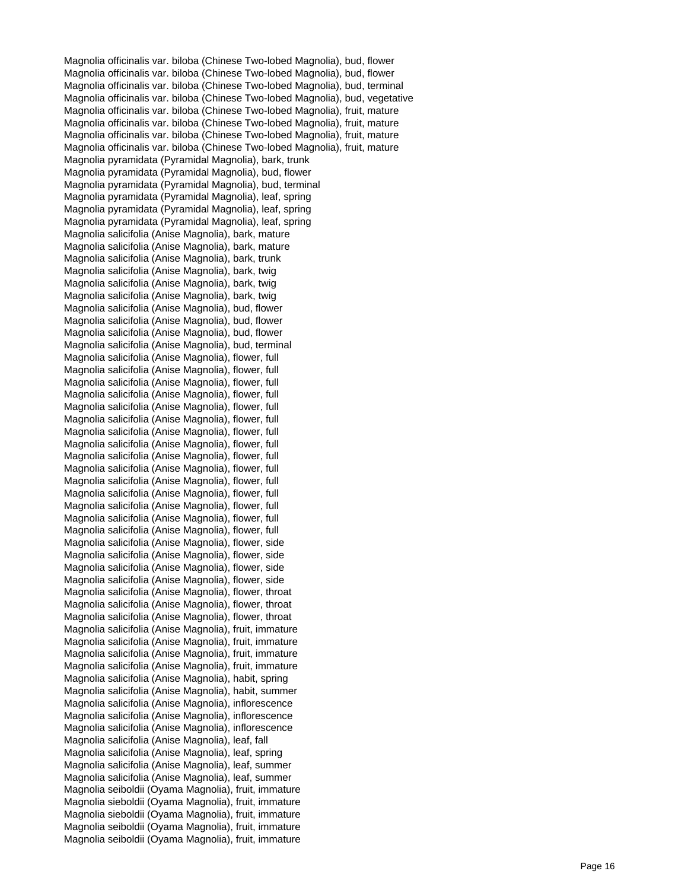Magnolia officinalis var. biloba (Chinese Two-lobed Magnolia), bud, flower Magnolia officinalis var. biloba (Chinese Two-lobed Magnolia), bud, flower Magnolia officinalis var. biloba (Chinese Two-lobed Magnolia), bud, terminal Magnolia officinalis var. biloba (Chinese Two-lobed Magnolia), bud, vegetative Magnolia officinalis var. biloba (Chinese Two-lobed Magnolia), fruit, mature Magnolia officinalis var. biloba (Chinese Two-lobed Magnolia), fruit, mature Magnolia officinalis var. biloba (Chinese Two-lobed Magnolia), fruit, mature Magnolia officinalis var. biloba (Chinese Two-lobed Magnolia), fruit, mature Magnolia pyramidata (Pyramidal Magnolia), bark, trunk Magnolia pyramidata (Pyramidal Magnolia), bud, flower Magnolia pyramidata (Pyramidal Magnolia), bud, terminal Magnolia pyramidata (Pyramidal Magnolia), leaf, spring Magnolia pyramidata (Pyramidal Magnolia), leaf, spring Magnolia pyramidata (Pyramidal Magnolia), leaf, spring Magnolia salicifolia (Anise Magnolia), bark, mature Magnolia salicifolia (Anise Magnolia), bark, mature Magnolia salicifolia (Anise Magnolia), bark, trunk Magnolia salicifolia (Anise Magnolia), bark, twig Magnolia salicifolia (Anise Magnolia), bark, twig Magnolia salicifolia (Anise Magnolia), bark, twig Magnolia salicifolia (Anise Magnolia), bud, flower Magnolia salicifolia (Anise Magnolia), bud, flower Magnolia salicifolia (Anise Magnolia), bud, flower Magnolia salicifolia (Anise Magnolia), bud, terminal Magnolia salicifolia (Anise Magnolia), flower, full Magnolia salicifolia (Anise Magnolia), flower, full Magnolia salicifolia (Anise Magnolia), flower, full Magnolia salicifolia (Anise Magnolia), flower, full Magnolia salicifolia (Anise Magnolia), flower, full Magnolia salicifolia (Anise Magnolia), flower, full Magnolia salicifolia (Anise Magnolia), flower, full Magnolia salicifolia (Anise Magnolia), flower, full Magnolia salicifolia (Anise Magnolia), flower, full Magnolia salicifolia (Anise Magnolia), flower, full Magnolia salicifolia (Anise Magnolia), flower, full Magnolia salicifolia (Anise Magnolia), flower, full Magnolia salicifolia (Anise Magnolia), flower, full Magnolia salicifolia (Anise Magnolia), flower, full Magnolia salicifolia (Anise Magnolia), flower, full Magnolia salicifolia (Anise Magnolia), flower, side Magnolia salicifolia (Anise Magnolia), flower, side Magnolia salicifolia (Anise Magnolia), flower, side Magnolia salicifolia (Anise Magnolia), flower, side Magnolia salicifolia (Anise Magnolia), flower, throat Magnolia salicifolia (Anise Magnolia), flower, throat Magnolia salicifolia (Anise Magnolia), flower, throat Magnolia salicifolia (Anise Magnolia), fruit, immature Magnolia salicifolia (Anise Magnolia), fruit, immature Magnolia salicifolia (Anise Magnolia), fruit, immature Magnolia salicifolia (Anise Magnolia), fruit, immature Magnolia salicifolia (Anise Magnolia), habit, spring Magnolia salicifolia (Anise Magnolia), habit, summer Magnolia salicifolia (Anise Magnolia), inflorescence Magnolia salicifolia (Anise Magnolia), inflorescence Magnolia salicifolia (Anise Magnolia), inflorescence Magnolia salicifolia (Anise Magnolia), leaf, fall Magnolia salicifolia (Anise Magnolia), leaf, spring Magnolia salicifolia (Anise Magnolia), leaf, summer Magnolia salicifolia (Anise Magnolia), leaf, summer Magnolia seiboldii (Oyama Magnolia), fruit, immature Magnolia sieboldii (Oyama Magnolia), fruit, immature Magnolia sieboldii (Oyama Magnolia), fruit, immature Magnolia seiboldii (Oyama Magnolia), fruit, immature Magnolia seiboldii (Oyama Magnolia), fruit, immature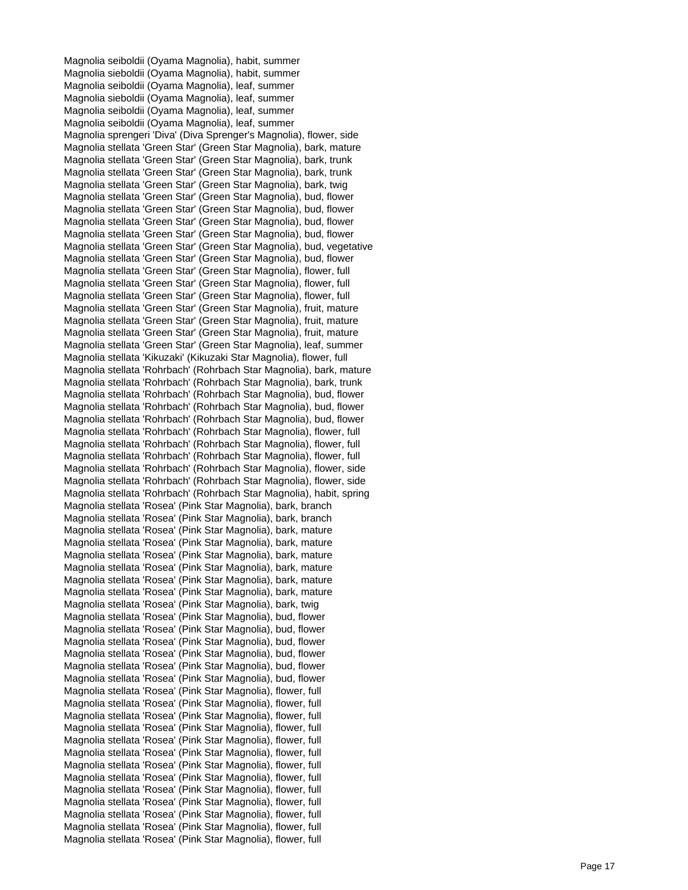Magnolia seiboldii (Oyama Magnolia), habit, summer Magnolia sieboldii (Oyama Magnolia), habit, summer Magnolia seiboldii (Oyama Magnolia), leaf, summer Magnolia sieboldii (Oyama Magnolia), leaf, summer Magnolia seiboldii (Oyama Magnolia), leaf, summer Magnolia seiboldii (Oyama Magnolia), leaf, summer Magnolia sprengeri 'Diva' (Diva Sprenger's Magnolia), flower, side Magnolia stellata 'Green Star' (Green Star Magnolia), bark, mature Magnolia stellata 'Green Star' (Green Star Magnolia), bark, trunk Magnolia stellata 'Green Star' (Green Star Magnolia), bark, trunk Magnolia stellata 'Green Star' (Green Star Magnolia), bark, twig Magnolia stellata 'Green Star' (Green Star Magnolia), bud, flower Magnolia stellata 'Green Star' (Green Star Magnolia), bud, flower Magnolia stellata 'Green Star' (Green Star Magnolia), bud, flower Magnolia stellata 'Green Star' (Green Star Magnolia), bud, flower Magnolia stellata 'Green Star' (Green Star Magnolia), bud, vegetative Magnolia stellata 'Green Star' (Green Star Magnolia), bud, flower Magnolia stellata 'Green Star' (Green Star Magnolia), flower, full Magnolia stellata 'Green Star' (Green Star Magnolia), flower, full Magnolia stellata 'Green Star' (Green Star Magnolia), flower, full Magnolia stellata 'Green Star' (Green Star Magnolia), fruit, mature Magnolia stellata 'Green Star' (Green Star Magnolia), fruit, mature Magnolia stellata 'Green Star' (Green Star Magnolia), fruit, mature Magnolia stellata 'Green Star' (Green Star Magnolia), leaf, summer Magnolia stellata 'Kikuzaki' (Kikuzaki Star Magnolia), flower, full Magnolia stellata 'Rohrbach' (Rohrbach Star Magnolia), bark, mature Magnolia stellata 'Rohrbach' (Rohrbach Star Magnolia), bark, trunk Magnolia stellata 'Rohrbach' (Rohrbach Star Magnolia), bud, flower Magnolia stellata 'Rohrbach' (Rohrbach Star Magnolia), bud, flower Magnolia stellata 'Rohrbach' (Rohrbach Star Magnolia), bud, flower Magnolia stellata 'Rohrbach' (Rohrbach Star Magnolia), flower, full Magnolia stellata 'Rohrbach' (Rohrbach Star Magnolia), flower, full Magnolia stellata 'Rohrbach' (Rohrbach Star Magnolia), flower, full Magnolia stellata 'Rohrbach' (Rohrbach Star Magnolia), flower, side Magnolia stellata 'Rohrbach' (Rohrbach Star Magnolia), flower, side Magnolia stellata 'Rohrbach' (Rohrbach Star Magnolia), habit, spring Magnolia stellata 'Rosea' (Pink Star Magnolia), bark, branch Magnolia stellata 'Rosea' (Pink Star Magnolia), bark, branch Magnolia stellata 'Rosea' (Pink Star Magnolia), bark, mature Magnolia stellata 'Rosea' (Pink Star Magnolia), bark, mature Magnolia stellata 'Rosea' (Pink Star Magnolia), bark, mature Magnolia stellata 'Rosea' (Pink Star Magnolia), bark, mature Magnolia stellata 'Rosea' (Pink Star Magnolia), bark, mature Magnolia stellata 'Rosea' (Pink Star Magnolia), bark, mature Magnolia stellata 'Rosea' (Pink Star Magnolia), bark, twig Magnolia stellata 'Rosea' (Pink Star Magnolia), bud, flower Magnolia stellata 'Rosea' (Pink Star Magnolia), bud, flower Magnolia stellata 'Rosea' (Pink Star Magnolia), bud, flower Magnolia stellata 'Rosea' (Pink Star Magnolia), bud, flower Magnolia stellata 'Rosea' (Pink Star Magnolia), bud, flower Magnolia stellata 'Rosea' (Pink Star Magnolia), bud, flower Magnolia stellata 'Rosea' (Pink Star Magnolia), flower, full Magnolia stellata 'Rosea' (Pink Star Magnolia), flower, full Magnolia stellata 'Rosea' (Pink Star Magnolia), flower, full Magnolia stellata 'Rosea' (Pink Star Magnolia), flower, full Magnolia stellata 'Rosea' (Pink Star Magnolia), flower, full Magnolia stellata 'Rosea' (Pink Star Magnolia), flower, full Magnolia stellata 'Rosea' (Pink Star Magnolia), flower, full Magnolia stellata 'Rosea' (Pink Star Magnolia), flower, full Magnolia stellata 'Rosea' (Pink Star Magnolia), flower, full Magnolia stellata 'Rosea' (Pink Star Magnolia), flower, full Magnolia stellata 'Rosea' (Pink Star Magnolia), flower, full Magnolia stellata 'Rosea' (Pink Star Magnolia), flower, full Magnolia stellata 'Rosea' (Pink Star Magnolia), flower, full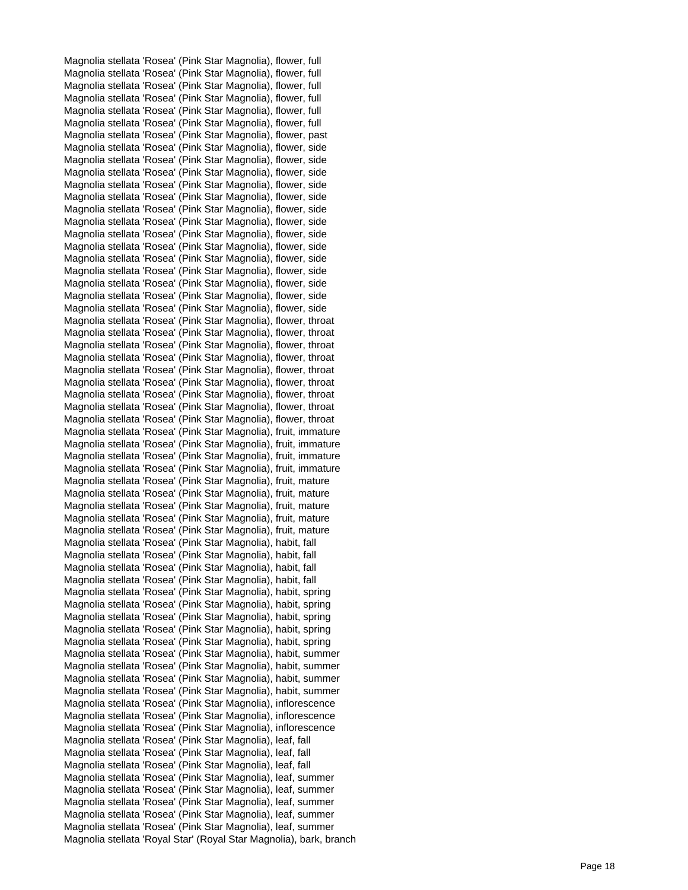Magnolia stellata 'Rosea' (Pink Star Magnolia), flower, full Magnolia stellata 'Rosea' (Pink Star Magnolia), flower, full Magnolia stellata 'Rosea' (Pink Star Magnolia), flower, full Magnolia stellata 'Rosea' (Pink Star Magnolia), flower, full Magnolia stellata 'Rosea' (Pink Star Magnolia), flower, full Magnolia stellata 'Rosea' (Pink Star Magnolia), flower, full Magnolia stellata 'Rosea' (Pink Star Magnolia), flower, past Magnolia stellata 'Rosea' (Pink Star Magnolia), flower, side Magnolia stellata 'Rosea' (Pink Star Magnolia), flower, side Magnolia stellata 'Rosea' (Pink Star Magnolia), flower, side Magnolia stellata 'Rosea' (Pink Star Magnolia), flower, side Magnolia stellata 'Rosea' (Pink Star Magnolia), flower, side Magnolia stellata 'Rosea' (Pink Star Magnolia), flower, side Magnolia stellata 'Rosea' (Pink Star Magnolia), flower, side Magnolia stellata 'Rosea' (Pink Star Magnolia), flower, side Magnolia stellata 'Rosea' (Pink Star Magnolia), flower, side Magnolia stellata 'Rosea' (Pink Star Magnolia), flower, side Magnolia stellata 'Rosea' (Pink Star Magnolia), flower, side Magnolia stellata 'Rosea' (Pink Star Magnolia), flower, side Magnolia stellata 'Rosea' (Pink Star Magnolia), flower, side Magnolia stellata 'Rosea' (Pink Star Magnolia), flower, side Magnolia stellata 'Rosea' (Pink Star Magnolia), flower, throat Magnolia stellata 'Rosea' (Pink Star Magnolia), flower, throat Magnolia stellata 'Rosea' (Pink Star Magnolia), flower, throat Magnolia stellata 'Rosea' (Pink Star Magnolia), flower, throat Magnolia stellata 'Rosea' (Pink Star Magnolia), flower, throat Magnolia stellata 'Rosea' (Pink Star Magnolia), flower, throat Magnolia stellata 'Rosea' (Pink Star Magnolia), flower, throat Magnolia stellata 'Rosea' (Pink Star Magnolia), flower, throat Magnolia stellata 'Rosea' (Pink Star Magnolia), flower, throat Magnolia stellata 'Rosea' (Pink Star Magnolia), fruit, immature Magnolia stellata 'Rosea' (Pink Star Magnolia), fruit, immature Magnolia stellata 'Rosea' (Pink Star Magnolia), fruit, immature Magnolia stellata 'Rosea' (Pink Star Magnolia), fruit, immature Magnolia stellata 'Rosea' (Pink Star Magnolia), fruit, mature Magnolia stellata 'Rosea' (Pink Star Magnolia), fruit, mature Magnolia stellata 'Rosea' (Pink Star Magnolia), fruit, mature Magnolia stellata 'Rosea' (Pink Star Magnolia), fruit, mature Magnolia stellata 'Rosea' (Pink Star Magnolia), fruit, mature Magnolia stellata 'Rosea' (Pink Star Magnolia), habit, fall Magnolia stellata 'Rosea' (Pink Star Magnolia), habit, fall Magnolia stellata 'Rosea' (Pink Star Magnolia), habit, fall Magnolia stellata 'Rosea' (Pink Star Magnolia), habit, fall Magnolia stellata 'Rosea' (Pink Star Magnolia), habit, spring Magnolia stellata 'Rosea' (Pink Star Magnolia), habit, spring Magnolia stellata 'Rosea' (Pink Star Magnolia), habit, spring Magnolia stellata 'Rosea' (Pink Star Magnolia), habit, spring Magnolia stellata 'Rosea' (Pink Star Magnolia), habit, spring Magnolia stellata 'Rosea' (Pink Star Magnolia), habit, summer Magnolia stellata 'Rosea' (Pink Star Magnolia), habit, summer Magnolia stellata 'Rosea' (Pink Star Magnolia), habit, summer Magnolia stellata 'Rosea' (Pink Star Magnolia), habit, summer Magnolia stellata 'Rosea' (Pink Star Magnolia), inflorescence Magnolia stellata 'Rosea' (Pink Star Magnolia), inflorescence Magnolia stellata 'Rosea' (Pink Star Magnolia), inflorescence Magnolia stellata 'Rosea' (Pink Star Magnolia), leaf, fall Magnolia stellata 'Rosea' (Pink Star Magnolia), leaf, fall Magnolia stellata 'Rosea' (Pink Star Magnolia), leaf, fall Magnolia stellata 'Rosea' (Pink Star Magnolia), leaf, summer Magnolia stellata 'Rosea' (Pink Star Magnolia), leaf, summer Magnolia stellata 'Rosea' (Pink Star Magnolia), leaf, summer Magnolia stellata 'Rosea' (Pink Star Magnolia), leaf, summer Magnolia stellata 'Rosea' (Pink Star Magnolia), leaf, summer Magnolia stellata 'Royal Star' (Royal Star Magnolia), bark, branch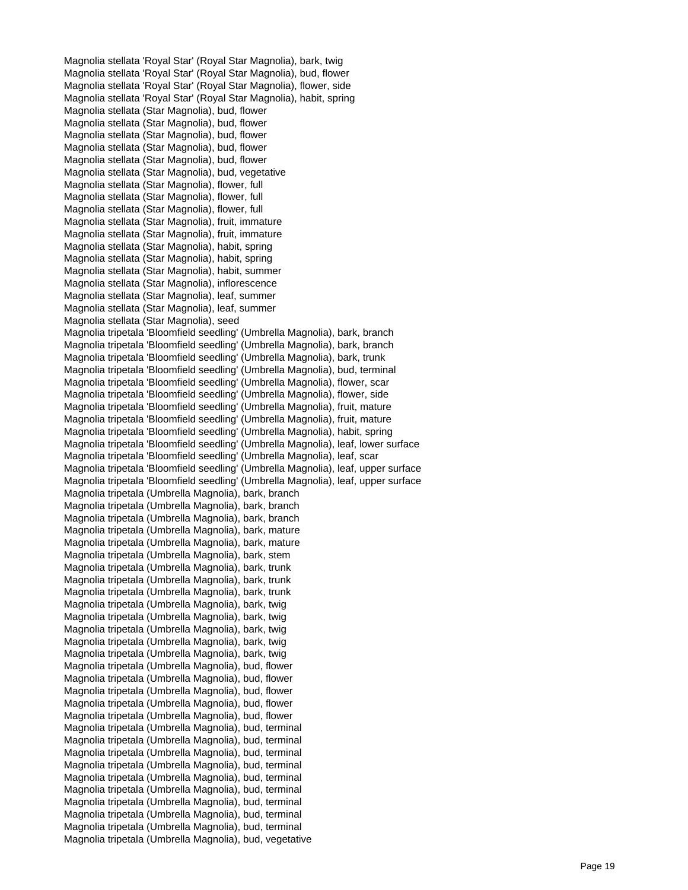Magnolia stellata 'Royal Star' (Royal Star Magnolia), bark, twig Magnolia stellata 'Royal Star' (Royal Star Magnolia), bud, flower Magnolia stellata 'Royal Star' (Royal Star Magnolia), flower, side Magnolia stellata 'Royal Star' (Royal Star Magnolia), habit, spring Magnolia stellata (Star Magnolia), bud, flower Magnolia stellata (Star Magnolia), bud, flower Magnolia stellata (Star Magnolia), bud, flower Magnolia stellata (Star Magnolia), bud, flower Magnolia stellata (Star Magnolia), bud, flower Magnolia stellata (Star Magnolia), bud, vegetative Magnolia stellata (Star Magnolia), flower, full Magnolia stellata (Star Magnolia), flower, full Magnolia stellata (Star Magnolia), flower, full Magnolia stellata (Star Magnolia), fruit, immature Magnolia stellata (Star Magnolia), fruit, immature Magnolia stellata (Star Magnolia), habit, spring Magnolia stellata (Star Magnolia), habit, spring Magnolia stellata (Star Magnolia), habit, summer Magnolia stellata (Star Magnolia), inflorescence Magnolia stellata (Star Magnolia), leaf, summer Magnolia stellata (Star Magnolia), leaf, summer Magnolia stellata (Star Magnolia), seed Magnolia tripetala 'Bloomfield seedling' (Umbrella Magnolia), bark, branch Magnolia tripetala 'Bloomfield seedling' (Umbrella Magnolia), bark, branch Magnolia tripetala 'Bloomfield seedling' (Umbrella Magnolia), bark, trunk Magnolia tripetala 'Bloomfield seedling' (Umbrella Magnolia), bud, terminal Magnolia tripetala 'Bloomfield seedling' (Umbrella Magnolia), flower, scar Magnolia tripetala 'Bloomfield seedling' (Umbrella Magnolia), flower, side Magnolia tripetala 'Bloomfield seedling' (Umbrella Magnolia), fruit, mature Magnolia tripetala 'Bloomfield seedling' (Umbrella Magnolia), fruit, mature Magnolia tripetala 'Bloomfield seedling' (Umbrella Magnolia), habit, spring Magnolia tripetala 'Bloomfield seedling' (Umbrella Magnolia), leaf, lower surface Magnolia tripetala 'Bloomfield seedling' (Umbrella Magnolia), leaf, scar Magnolia tripetala 'Bloomfield seedling' (Umbrella Magnolia), leaf, upper surface Magnolia tripetala 'Bloomfield seedling' (Umbrella Magnolia), leaf, upper surface Magnolia tripetala (Umbrella Magnolia), bark, branch Magnolia tripetala (Umbrella Magnolia), bark, branch Magnolia tripetala (Umbrella Magnolia), bark, branch Magnolia tripetala (Umbrella Magnolia), bark, mature Magnolia tripetala (Umbrella Magnolia), bark, mature Magnolia tripetala (Umbrella Magnolia), bark, stem Magnolia tripetala (Umbrella Magnolia), bark, trunk Magnolia tripetala (Umbrella Magnolia), bark, trunk Magnolia tripetala (Umbrella Magnolia), bark, trunk Magnolia tripetala (Umbrella Magnolia), bark, twig Magnolia tripetala (Umbrella Magnolia), bark, twig Magnolia tripetala (Umbrella Magnolia), bark, twig Magnolia tripetala (Umbrella Magnolia), bark, twig Magnolia tripetala (Umbrella Magnolia), bark, twig Magnolia tripetala (Umbrella Magnolia), bud, flower Magnolia tripetala (Umbrella Magnolia), bud, flower Magnolia tripetala (Umbrella Magnolia), bud, flower Magnolia tripetala (Umbrella Magnolia), bud, flower Magnolia tripetala (Umbrella Magnolia), bud, flower Magnolia tripetala (Umbrella Magnolia), bud, terminal Magnolia tripetala (Umbrella Magnolia), bud, terminal Magnolia tripetala (Umbrella Magnolia), bud, terminal Magnolia tripetala (Umbrella Magnolia), bud, terminal Magnolia tripetala (Umbrella Magnolia), bud, terminal Magnolia tripetala (Umbrella Magnolia), bud, terminal Magnolia tripetala (Umbrella Magnolia), bud, terminal Magnolia tripetala (Umbrella Magnolia), bud, terminal Magnolia tripetala (Umbrella Magnolia), bud, terminal Magnolia tripetala (Umbrella Magnolia), bud, vegetative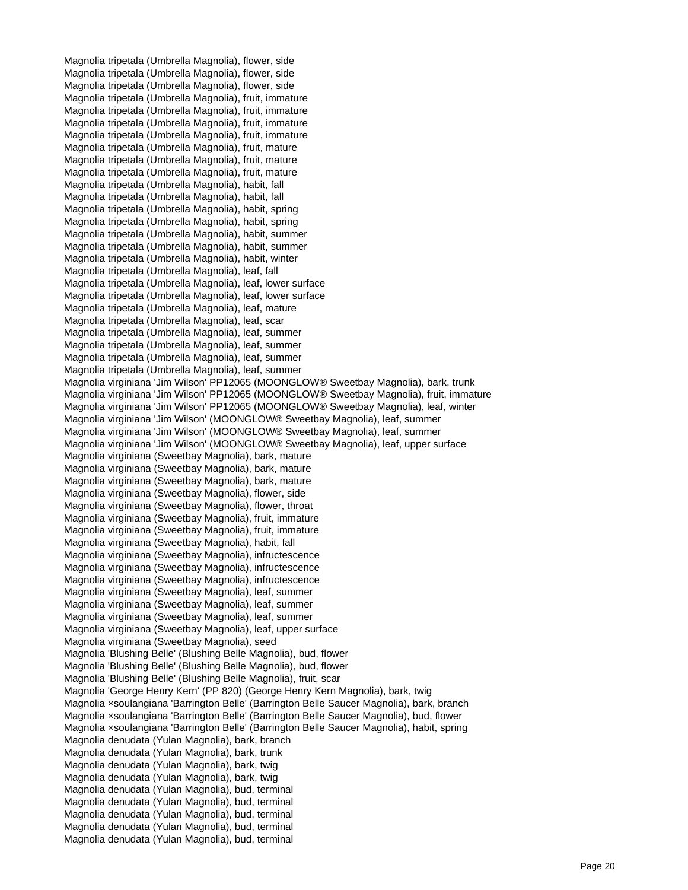Magnolia tripetala (Umbrella Magnolia), flower, side Magnolia tripetala (Umbrella Magnolia), flower, side Magnolia tripetala (Umbrella Magnolia), flower, side Magnolia tripetala (Umbrella Magnolia), fruit, immature Magnolia tripetala (Umbrella Magnolia), fruit, immature Magnolia tripetala (Umbrella Magnolia), fruit, immature Magnolia tripetala (Umbrella Magnolia), fruit, immature Magnolia tripetala (Umbrella Magnolia), fruit, mature Magnolia tripetala (Umbrella Magnolia), fruit, mature Magnolia tripetala (Umbrella Magnolia), fruit, mature Magnolia tripetala (Umbrella Magnolia), habit, fall Magnolia tripetala (Umbrella Magnolia), habit, fall Magnolia tripetala (Umbrella Magnolia), habit, spring Magnolia tripetala (Umbrella Magnolia), habit, spring Magnolia tripetala (Umbrella Magnolia), habit, summer Magnolia tripetala (Umbrella Magnolia), habit, summer Magnolia tripetala (Umbrella Magnolia), habit, winter Magnolia tripetala (Umbrella Magnolia), leaf, fall Magnolia tripetala (Umbrella Magnolia), leaf, lower surface Magnolia tripetala (Umbrella Magnolia), leaf, lower surface Magnolia tripetala (Umbrella Magnolia), leaf, mature Magnolia tripetala (Umbrella Magnolia), leaf, scar Magnolia tripetala (Umbrella Magnolia), leaf, summer Magnolia tripetala (Umbrella Magnolia), leaf, summer Magnolia tripetala (Umbrella Magnolia), leaf, summer Magnolia tripetala (Umbrella Magnolia), leaf, summer Magnolia virginiana 'Jim Wilson' PP12065 (MOONGLOW® Sweetbay Magnolia), bark, trunk Magnolia virginiana 'Jim Wilson' PP12065 (MOONGLOW® Sweetbay Magnolia), fruit, immature Magnolia virginiana 'Jim Wilson' PP12065 (MOONGLOW® Sweetbay Magnolia), leaf, winter Magnolia virginiana 'Jim Wilson' (MOONGLOW® Sweetbay Magnolia), leaf, summer Magnolia virginiana 'Jim Wilson' (MOONGLOW® Sweetbay Magnolia), leaf, summer Magnolia virginiana 'Jim Wilson' (MOONGLOW® Sweetbay Magnolia), leaf, upper surface Magnolia virginiana (Sweetbay Magnolia), bark, mature Magnolia virginiana (Sweetbay Magnolia), bark, mature Magnolia virginiana (Sweetbay Magnolia), bark, mature Magnolia virginiana (Sweetbay Magnolia), flower, side Magnolia virginiana (Sweetbay Magnolia), flower, throat Magnolia virginiana (Sweetbay Magnolia), fruit, immature Magnolia virginiana (Sweetbay Magnolia), fruit, immature Magnolia virginiana (Sweetbay Magnolia), habit, fall Magnolia virginiana (Sweetbay Magnolia), infructescence Magnolia virginiana (Sweetbay Magnolia), infructescence Magnolia virginiana (Sweetbay Magnolia), infructescence Magnolia virginiana (Sweetbay Magnolia), leaf, summer Magnolia virginiana (Sweetbay Magnolia), leaf, summer Magnolia virginiana (Sweetbay Magnolia), leaf, summer Magnolia virginiana (Sweetbay Magnolia), leaf, upper surface Magnolia virginiana (Sweetbay Magnolia), seed Magnolia 'Blushing Belle' (Blushing Belle Magnolia), bud, flower Magnolia 'Blushing Belle' (Blushing Belle Magnolia), bud, flower Magnolia 'Blushing Belle' (Blushing Belle Magnolia), fruit, scar Magnolia 'George Henry Kern' (PP 820) (George Henry Kern Magnolia), bark, twig Magnolia ×soulangiana 'Barrington Belle' (Barrington Belle Saucer Magnolia), bark, branch Magnolia ×soulangiana 'Barrington Belle' (Barrington Belle Saucer Magnolia), bud, flower Magnolia ×soulangiana 'Barrington Belle' (Barrington Belle Saucer Magnolia), habit, spring Magnolia denudata (Yulan Magnolia), bark, branch Magnolia denudata (Yulan Magnolia), bark, trunk Magnolia denudata (Yulan Magnolia), bark, twig Magnolia denudata (Yulan Magnolia), bark, twig Magnolia denudata (Yulan Magnolia), bud, terminal Magnolia denudata (Yulan Magnolia), bud, terminal Magnolia denudata (Yulan Magnolia), bud, terminal Magnolia denudata (Yulan Magnolia), bud, terminal Magnolia denudata (Yulan Magnolia), bud, terminal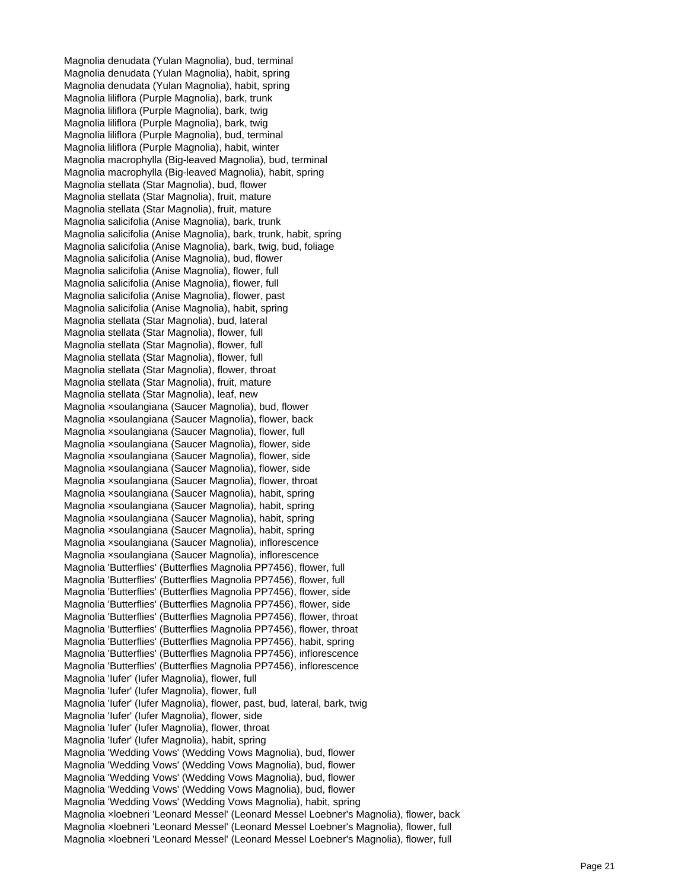Magnolia denudata (Yulan Magnolia), bud, terminal Magnolia denudata (Yulan Magnolia), habit, spring Magnolia denudata (Yulan Magnolia), habit, spring Magnolia liliflora (Purple Magnolia), bark, trunk Magnolia liliflora (Purple Magnolia), bark, twig Magnolia liliflora (Purple Magnolia), bark, twig Magnolia liliflora (Purple Magnolia), bud, terminal Magnolia liliflora (Purple Magnolia), habit, winter Magnolia macrophylla (Big-leaved Magnolia), bud, terminal Magnolia macrophylla (Big-leaved Magnolia), habit, spring Magnolia stellata (Star Magnolia), bud, flower Magnolia stellata (Star Magnolia), fruit, mature Magnolia stellata (Star Magnolia), fruit, mature Magnolia salicifolia (Anise Magnolia), bark, trunk Magnolia salicifolia (Anise Magnolia), bark, trunk, habit, spring Magnolia salicifolia (Anise Magnolia), bark, twig, bud, foliage Magnolia salicifolia (Anise Magnolia), bud, flower Magnolia salicifolia (Anise Magnolia), flower, full Magnolia salicifolia (Anise Magnolia), flower, full Magnolia salicifolia (Anise Magnolia), flower, past Magnolia salicifolia (Anise Magnolia), habit, spring Magnolia stellata (Star Magnolia), bud, lateral Magnolia stellata (Star Magnolia), flower, full Magnolia stellata (Star Magnolia), flower, full Magnolia stellata (Star Magnolia), flower, full Magnolia stellata (Star Magnolia), flower, throat Magnolia stellata (Star Magnolia), fruit, mature Magnolia stellata (Star Magnolia), leaf, new Magnolia ×soulangiana (Saucer Magnolia), bud, flower Magnolia ×soulangiana (Saucer Magnolia), flower, back Magnolia ×soulangiana (Saucer Magnolia), flower, full Magnolia ×soulangiana (Saucer Magnolia), flower, side Magnolia ×soulangiana (Saucer Magnolia), flower, side Magnolia ×soulangiana (Saucer Magnolia), flower, side Magnolia ×soulangiana (Saucer Magnolia), flower, throat Magnolia ×soulangiana (Saucer Magnolia), habit, spring Magnolia ×soulangiana (Saucer Magnolia), habit, spring Magnolia ×soulangiana (Saucer Magnolia), habit, spring Magnolia ×soulangiana (Saucer Magnolia), habit, spring Magnolia ×soulangiana (Saucer Magnolia), inflorescence Magnolia ×soulangiana (Saucer Magnolia), inflorescence Magnolia 'Butterflies' (Butterflies Magnolia PP7456), flower, full Magnolia 'Butterflies' (Butterflies Magnolia PP7456), flower, full Magnolia 'Butterflies' (Butterflies Magnolia PP7456), flower, side Magnolia 'Butterflies' (Butterflies Magnolia PP7456), flower, side Magnolia 'Butterflies' (Butterflies Magnolia PP7456), flower, throat Magnolia 'Butterflies' (Butterflies Magnolia PP7456), flower, throat Magnolia 'Butterflies' (Butterflies Magnolia PP7456), habit, spring Magnolia 'Butterflies' (Butterflies Magnolia PP7456), inflorescence Magnolia 'Butterflies' (Butterflies Magnolia PP7456), inflorescence Magnolia 'Iufer' (Iufer Magnolia), flower, full Magnolia 'Iufer' (Iufer Magnolia), flower, full Magnolia 'Iufer' (Iufer Magnolia), flower, past, bud, lateral, bark, twig Magnolia 'Iufer' (Iufer Magnolia), flower, side Magnolia 'Iufer' (Iufer Magnolia), flower, throat Magnolia 'Iufer' (Iufer Magnolia), habit, spring Magnolia 'Wedding Vows' (Wedding Vows Magnolia), bud, flower Magnolia 'Wedding Vows' (Wedding Vows Magnolia), bud, flower Magnolia 'Wedding Vows' (Wedding Vows Magnolia), bud, flower Magnolia 'Wedding Vows' (Wedding Vows Magnolia), bud, flower Magnolia 'Wedding Vows' (Wedding Vows Magnolia), habit, spring Magnolia ×loebneri 'Leonard Messel' (Leonard Messel Loebner's Magnolia), flower, back Magnolia ×loebneri 'Leonard Messel' (Leonard Messel Loebner's Magnolia), flower, full Magnolia ×loebneri 'Leonard Messel' (Leonard Messel Loebner's Magnolia), flower, full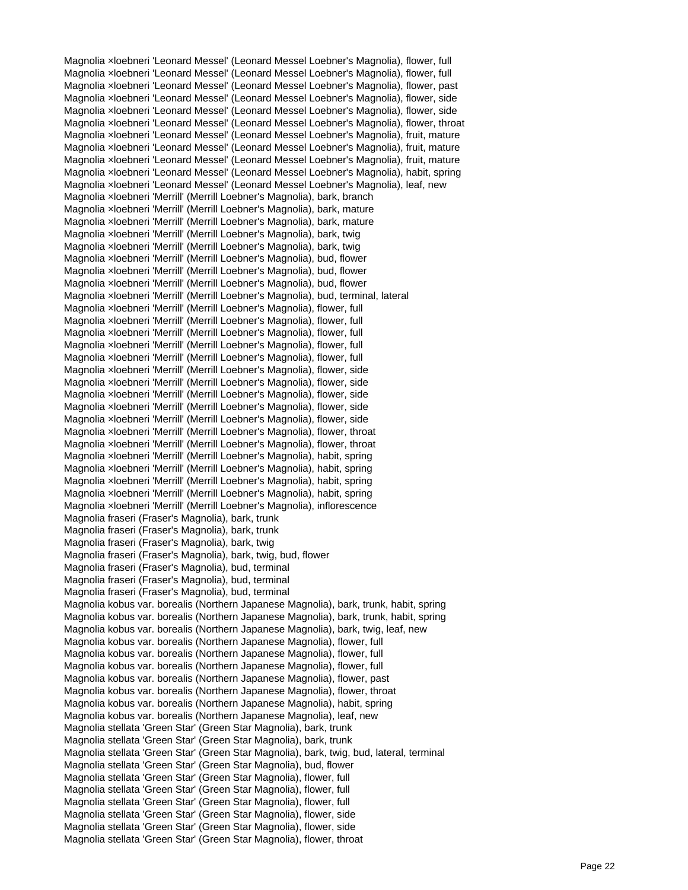Magnolia ×loebneri 'Leonard Messel' (Leonard Messel Loebner's Magnolia), flower, full Magnolia ×loebneri 'Leonard Messel' (Leonard Messel Loebner's Magnolia), flower, full Magnolia ×loebneri 'Leonard Messel' (Leonard Messel Loebner's Magnolia), flower, past Magnolia ×loebneri 'Leonard Messel' (Leonard Messel Loebner's Magnolia), flower, side Magnolia ×loebneri 'Leonard Messel' (Leonard Messel Loebner's Magnolia), flower, side Magnolia ×loebneri 'Leonard Messel' (Leonard Messel Loebner's Magnolia), flower, throat Magnolia ×loebneri 'Leonard Messel' (Leonard Messel Loebner's Magnolia), fruit, mature Magnolia ×loebneri 'Leonard Messel' (Leonard Messel Loebner's Magnolia), fruit, mature Magnolia ×loebneri 'Leonard Messel' (Leonard Messel Loebner's Magnolia), fruit, mature Magnolia ×loebneri 'Leonard Messel' (Leonard Messel Loebner's Magnolia), habit, spring Magnolia ×loebneri 'Leonard Messel' (Leonard Messel Loebner's Magnolia), leaf, new Magnolia ×loebneri 'Merrill' (Merrill Loebner's Magnolia), bark, branch Magnolia ×loebneri 'Merrill' (Merrill Loebner's Magnolia), bark, mature Magnolia ×loebneri 'Merrill' (Merrill Loebner's Magnolia), bark, mature Magnolia ×loebneri 'Merrill' (Merrill Loebner's Magnolia), bark, twig Magnolia ×loebneri 'Merrill' (Merrill Loebner's Magnolia), bark, twig Magnolia ×loebneri 'Merrill' (Merrill Loebner's Magnolia), bud, flower Magnolia ×loebneri 'Merrill' (Merrill Loebner's Magnolia), bud, flower Magnolia ×loebneri 'Merrill' (Merrill Loebner's Magnolia), bud, flower Magnolia ×loebneri 'Merrill' (Merrill Loebner's Magnolia), bud, terminal, lateral Magnolia ×loebneri 'Merrill' (Merrill Loebner's Magnolia), flower, full Magnolia ×loebneri 'Merrill' (Merrill Loebner's Magnolia), flower, full Magnolia ×loebneri 'Merrill' (Merrill Loebner's Magnolia), flower, full Magnolia ×loebneri 'Merrill' (Merrill Loebner's Magnolia), flower, full Magnolia ×loebneri 'Merrill' (Merrill Loebner's Magnolia), flower, full Magnolia ×loebneri 'Merrill' (Merrill Loebner's Magnolia), flower, side Magnolia ×loebneri 'Merrill' (Merrill Loebner's Magnolia), flower, side Magnolia ×loebneri 'Merrill' (Merrill Loebner's Magnolia), flower, side Magnolia ×loebneri 'Merrill' (Merrill Loebner's Magnolia), flower, side Magnolia ×loebneri 'Merrill' (Merrill Loebner's Magnolia), flower, side Magnolia ×loebneri 'Merrill' (Merrill Loebner's Magnolia), flower, throat Magnolia ×loebneri 'Merrill' (Merrill Loebner's Magnolia), flower, throat Magnolia ×loebneri 'Merrill' (Merrill Loebner's Magnolia), habit, spring Magnolia ×loebneri 'Merrill' (Merrill Loebner's Magnolia), habit, spring Magnolia ×loebneri 'Merrill' (Merrill Loebner's Magnolia), habit, spring Magnolia ×loebneri 'Merrill' (Merrill Loebner's Magnolia), habit, spring Magnolia ×loebneri 'Merrill' (Merrill Loebner's Magnolia), inflorescence Magnolia fraseri (Fraser's Magnolia), bark, trunk Magnolia fraseri (Fraser's Magnolia), bark, trunk Magnolia fraseri (Fraser's Magnolia), bark, twig Magnolia fraseri (Fraser's Magnolia), bark, twig, bud, flower Magnolia fraseri (Fraser's Magnolia), bud, terminal Magnolia fraseri (Fraser's Magnolia), bud, terminal Magnolia fraseri (Fraser's Magnolia), bud, terminal Magnolia kobus var. borealis (Northern Japanese Magnolia), bark, trunk, habit, spring Magnolia kobus var. borealis (Northern Japanese Magnolia), bark, trunk, habit, spring Magnolia kobus var. borealis (Northern Japanese Magnolia), bark, twig, leaf, new Magnolia kobus var. borealis (Northern Japanese Magnolia), flower, full Magnolia kobus var. borealis (Northern Japanese Magnolia), flower, full Magnolia kobus var. borealis (Northern Japanese Magnolia), flower, full Magnolia kobus var. borealis (Northern Japanese Magnolia), flower, past Magnolia kobus var. borealis (Northern Japanese Magnolia), flower, throat Magnolia kobus var. borealis (Northern Japanese Magnolia), habit, spring Magnolia kobus var. borealis (Northern Japanese Magnolia), leaf, new Magnolia stellata 'Green Star' (Green Star Magnolia), bark, trunk Magnolia stellata 'Green Star' (Green Star Magnolia), bark, trunk Magnolia stellata 'Green Star' (Green Star Magnolia), bark, twig, bud, lateral, terminal Magnolia stellata 'Green Star' (Green Star Magnolia), bud, flower Magnolia stellata 'Green Star' (Green Star Magnolia), flower, full Magnolia stellata 'Green Star' (Green Star Magnolia), flower, full Magnolia stellata 'Green Star' (Green Star Magnolia), flower, full Magnolia stellata 'Green Star' (Green Star Magnolia), flower, side Magnolia stellata 'Green Star' (Green Star Magnolia), flower, side Magnolia stellata 'Green Star' (Green Star Magnolia), flower, throat